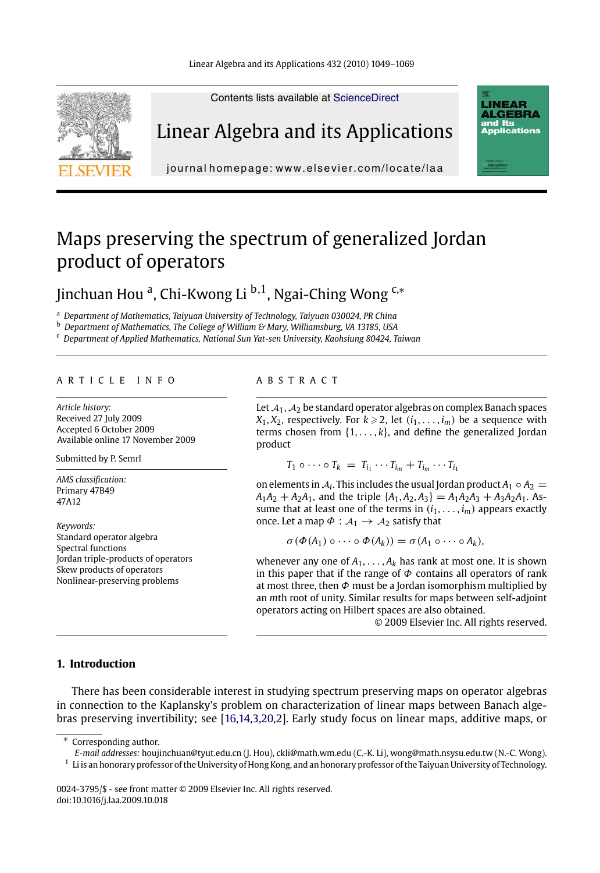Linear Algebra and its Applications 432 (2010) 1049–1069



Linear Algebra and its Applications

Contents lists available at ScienceDirect



journal homepage: www.elsevier.com/locate/laa

# Maps preserving the spectrum of generalized Jordan product of operators

Jinchuan Hou <sup>a</sup>, Chi-Kwong Li <sup>b,1</sup>, Ngai-Ching Wong <sup>c,∗</sup>

<sup>a</sup> *Department of Mathematics, Taiyuan University of Technology, Taiyuan 030024, PR China*

<sup>b</sup> *Department of Mathematics, The College of William & Mary, Williamsburg, VA 13185, USA*

<sup>c</sup> *Department of Applied Mathematics, National Sun Yat-sen University, Kaohsiung 80424, Taiwan*

## ARTICLE INFO ABSTRACT

*Article history:* Received 27 July 2009 Accepted 6 October 2009 Available online 17 November 2009

Submitted by P. Semrl

*AMS classification:* Primary 47B49 47A12

*Keywords:* Standard operator algebra Spectral functions Jordan triple-products of operators Skew products of operators Nonlinear-preserving problems

Let  $A_1$ ,  $A_2$  be standard operator algebras on complex Banach spaces  $X_1, X_2$ , respectively. For  $k \geqslant 2$ , let  $(i_1, \ldots, i_m)$  be a sequence with terms chosen from  $\{1, \ldots, k\}$ , and define the generalized Jordan product

 $T_1 \circ \cdots \circ T_k = T_{i_1} \cdots T_{i_m} + T_{i_m} \cdots T_{i_1}$ 

on elements in  $A_i$ . This includes the usual Jordan product  $A_1 \circ A_2 =$  $A_1A_2 + A_2A_1$ , and the triple  $\{A_1, A_2, A_3\} = A_1A_2A_3 + A_3A_2A_1$ . Assume that at least one of the terms in  $(i_1, \ldots, i_m)$  appears exactly once. Let a map  $\Phi : A_1 \rightarrow A_2$  satisfy that

 $\sigma$  ( $\Phi$ ( $A_1$ )  $\circ \cdots \circ \Phi$ ( $A_k$ )) =  $\sigma$ ( $A_1 \circ \cdots \circ A_k$ ),

whenever any one of  $A_1, \ldots, A_k$  has rank at most one. It is shown [in this](#page-20-0) paper that if the range of  $\Phi$  contains all operators of rank at most three, then  $\Phi$  must be a Jordan isomorphism multiplied by an *m*th root of unity. Similar results for maps between self-adjoint operators acting on Hilbert spaces are also obtained.

© 2009 Elsevier Inc. All rights reserved.

# **1. Introduction**

There has been considerable interest in studying spectrum preserving maps on operator algebras in connection to the Kaplansky's problem on characterization of linear maps between Banach algebras preserving invertibility; see [16,14,3,20,2]. Early study focus on linear maps, additive maps, or

*E-mail addresses:* houjinchuan@tyut.edu.cn (J. Hou), ckli@math.wm.edu (C.-K. Li), wong@math.nsysu.edu.tw (N.-C. Wong).  $^1\,$  Li is an honorary professor of the University of Hong Kong, and an honorary professor of the Taiyuan University of Technology.

<sup>∗</sup> Corresponding author.

<sup>0024-3795/\$ -</sup> see front matter © 2009 Elsevier Inc. All rights reserved. doi:10.1016/j.laa.2009.10.018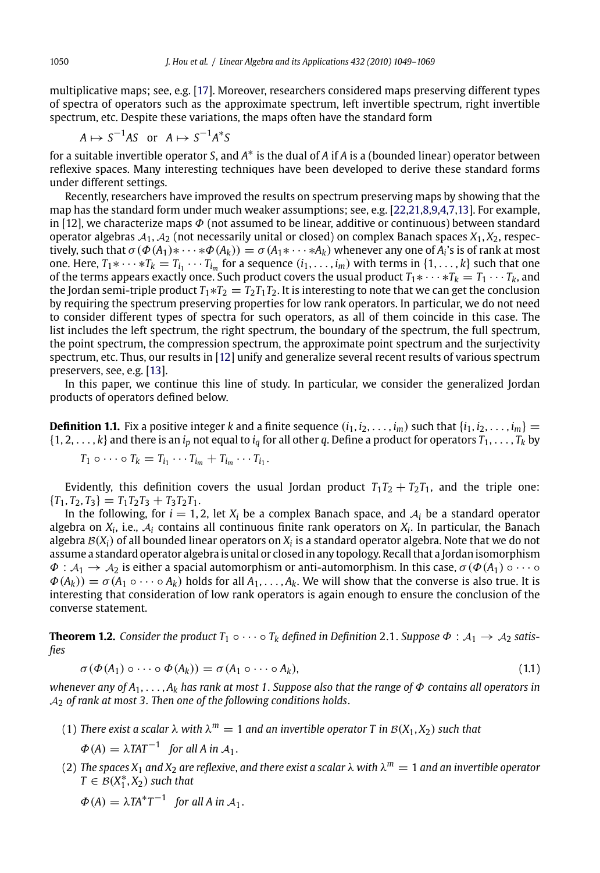multiplicative maps; see, e.g. [17]. Moreover, researchers considered maps preserving different types of spectra of operators such as the approximate spectrum, left invertible spectrum, right invertible spectrum, etc. Despite these variations, the maps often have the standard form

$$
A \mapsto S^{-1}AS \text{ or } A \mapsto S^{-1}A^*S
$$

for a suitable invertible operator *S*, and *A*<sup>∗</sup> is the dual of *A* if *A* is a (bounded linear) operator between reflexive spaces. Many interesting techniques have been developed to derive these standard forms under different settings.

Recently, researchers have improved the results on spectrum preserving maps by showing that the map has the standard form under [muc](#page-20-0)h weaker assumptions; see, e.g. [22,21,8,9,4,7,13]. For example, in [12], we characte[rize](#page-20-0) maps  $\Phi$  (not assumed to be linear, additive or continuous) between standard operator algebras A1, A<sup>2</sup> (not necessarily unital or closed) on complex Banach spaces *X*1, *X*2, respectively, such that  $\sigma(\Phi(A_1)*\cdots*\Phi(A_k))=\sigma(A_1*\cdots*A_k)$  whenever any one of  $A_i$ 's is of rank at most one. Here,  $T_1 * \cdots * T_k = T_{i_1} \cdots T_{i_m}$  for a sequence  $(i_1, \ldots, i_m)$  with terms in  $\{1, \ldots, k\}$  such that one of the terms appears exactly once. Such product covers the usual product  $T_1 * \cdots * T_k = T_1 \cdots T_k$ , and the Jordan semi-triple product  $T_1 * T_2 = T_2 T_1 T_2$ . It is interesting to note that we can get the conclusion by requiring the spectrum preserving properties for low rank operators. In particular, we do not need to consider different types of spectra for such operators, as all of them coincide in this case. The list includes the left spectrum, the right spectrum, the boundary of the spectrum, the full spectrum, the point spectrum, the compression spectrum, the approximate point spectrum and the surjectivity spectrum, etc. Thus, our results in [12] unify and generalize several recent results of various spectrum preservers, see, e.g. [13].

In this paper, we continue this line of study. In particular, we consider the generalized Jordan products of operators defined below.

**Definition 1.1.** Fix a positive integer *k* and a finite sequence  $(i_1, i_2, \ldots, i_m)$  such that  $\{i_1, i_2, \ldots, i_m\}$  =  $\{1, 2, \ldots, k\}$  and there is an  $i_p$  not equal to  $i_q$  for all other q. Define a product for operators  $T_1, \ldots, T_k$  by

$$
T_1 \circ \cdots \circ T_k = T_{i_1} \cdots T_{i_m} + T_{i_m} \cdots T_{i_1}.
$$

Evidently, this definition covers the usual Jordan product  $T_1T_2 + T_2T_1$ , and the triple one:  ${T_1, T_2, T_3} = T_1T_2T_3 + T_3T_2T_1.$ 

In the following, for  $i = 1, 2$ , let  $X_i$  be a complex Banach space, and  $A_i$  be a standard operator algebra on  $X_i$ , i.e.,  $A_i$  contains all continuous finite rank operators on  $X_i$ . In particular, the Banach algebra  $\mathcal{B}(X_i)$  of all bounded linear operators on  $X_i$  is a standard operator algebra. Note that we do not assume a standard operator algebra is unital or closed in any topology. Recall that a Jordan isomorphism  $\Phi: A_1 \to A_2$  is either a spacial automorphism or anti-automorphism. In this case,  $\sigma(\Phi(A_1) \circ \cdots \circ A_n)$  $\Phi(A_k) = \sigma(A_1 \circ \cdots \circ A_k)$  holds for all  $A_1, \ldots, A_k$ . We will show that the converse is also true. It is interesting that consideration of low rank operators is again enough to ensure the conclusion of the converse statement.

**Theorem 1.2.** Consider the product  $T_1 \circ \cdots \circ T_k$  defined in Definition 2.1. Suppose  $\Phi : A_1 \to A_2$  satis*fies*

$$
\sigma(\Phi(A_1) \circ \cdots \circ \Phi(A_k)) = \sigma(A_1 \circ \cdots \circ A_k), \qquad (1.1)
$$

*whenever any of A*1, ... , *Ak has rank at most 1*. *Suppose also that the range of* Φ *contains all operators in* <sup>A</sup><sup>2</sup> *of rank at most 3*. *Then one of the following conditions holds*.

(1) *There exist a scalar*  $\lambda$  *with*  $\lambda^m = 1$  *and an invertible operator T in*  $B(X_1, X_2)$  *such that* 

 $\Phi(A) = \lambda TAT^{-1}$  for all A in A<sub>1</sub>.

- (2) *The spaces*  $X_1$  *and*  $X_2$  *are reflexive, and there exist a scalar*  $\lambda$  *with*  $\lambda^m = 1$  *and an invertible operator*  $T \in B(X_1^*, X_2)$  *such that* 
	- $\Phi(A) = \lambda TA^*T^{-1}$  for all A in  $A_1$ .

<span id="page-1-0"></span>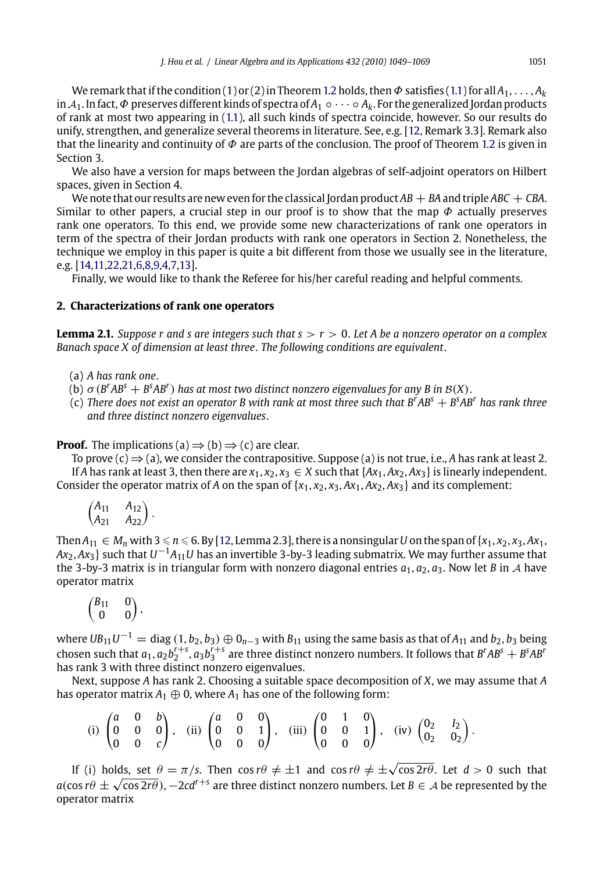<span id="page-2-0"></span>We remark that if the condition (1) or (2) in Theorem 1.2 holds, then  $\Phi$  satisfies (1.1) for all *A*<sub>1</sub>, . . . , *A*<sub>k</sub> in <sup>A</sup>1. In fact,Φ preserves different kinds of spectra of *<sup>A</sup>*<sup>1</sup> ◦···◦ *Ak*. For the generalized Jordan products of r[ank at most two appeari](#page-20-0)ng in (1.1), all such kinds of spectra coincide, however. So our results do unify, strengthen, and generalize several theorems in literature. See, e.g. [12, Remark 3.3]. Remark also that the linearity and continuity of  $\Phi$  are parts of the conclusion. The proof of Theorem 1.2 is given in Section 3.

We also have a version for maps between the Jordan algebras of self-adjoint operators on Hilbert spaces, given in Section 4.

We note that our results are new even for the classical Jordan product  $AB + BA$  and triple  $ABC + CBA$ . Similar to other papers, a crucial step in our proof is to show that the map  $\Phi$  actually preserves rank one operators. To this end, we provide some new characterizations of rank one operators in term of the spectra of their Jordan products with rank one operators in Section 2. Nonetheless, the technique we employ in this paper is quite a bit different from those we usually see in the literature, e.g. [14,11,22,21,6,8,9,4,7,13].

Finally, we would like to thank the Referee for his/her careful reading and helpful comments.

## **2. Characterizations of rank one operators**

**Lemma 2.1.** *Suppose r and s are integers such that s* > *r* > 0. *Let A be a nonzero operator on a complex Banach space X of dimension at least three*. *The following conditions are equivalent*.

(a) *A has rank one*.

(b)  $\sigma$  (*B<sup>r</sup>* A*B*<sup>*s*</sup> + *B*<sup>*s*</sup>A*B<sup><i>r*</sup>) has at most two distinct nonzero eigenvalues for any *B* in *B*(*X*).

(c) *There does not exist an oper[ato](#page-20-0)r B with rank at most three such that B<sup>r</sup> AB<sup>s</sup>* + *B<sup>s</sup> AB<sup>r</sup> has rank three and three distinct nonzero eigenvalues*.

**Proof.** The implications (a)  $\Rightarrow$  (b)  $\Rightarrow$  (c) are clear.

To prove  $(c) \Rightarrow (a)$ , we consider the contrapositive. Suppose (a) is not true, i.e., *A* has rank at least 2. If *A* has rank at least 3, then there are  $x_1, x_2, x_3 \in X$  such that  $\{Ax_1, Ax_2, Ax_3\}$  is linearly independent. Consider the operator matrix of *A* on the span of  $\{x_1, x_2, x_3, Ax_1, Ax_2, Ax_3\}$  and its complement:

$$
\begin{pmatrix} A_{11} & A_{12} \\ A_{21} & A_{22} \end{pmatrix}.
$$

 $\text{Then } A_{11} \in M_n \text{ with } 3 \leqslant n \leqslant 6$ . By [12, Lemma 2.3], there is a nonsingular  $U$  on the span of  $\{x_1, x_2, x_3, Ax_1, Ax_2, Ax_3, Ax_4, Ax_5, Ax_6, Ax_7, Ax_8, Ax_9, Ax_1, Ax_2, Ax_3, Ax_4, Ax_4, Ax_5, Ax_6, Ax_7, Ax_8, Ax_9, Ax_1, Ax_2, Ax_3, Ax_4, Ax_6, Ax_7, Ax_8, Ax_$ *Ax*2, *Ax*3} such that *<sup>U</sup>*−1*A*11*<sup>U</sup>* has an invertible 3-by-3 leading submatrix. We may further assume that the 3-by-3 matrix is in triangular form with nonzero diagonal entries  $a_1$ ,  $a_2$ ,  $a_3$ . Now let *B* in *A* have operator matrix

$$
\begin{pmatrix} B_{11} & 0 \\ 0 & 0 \end{pmatrix},
$$

where  $UB_{11}U^{-1} = \text{diag}(1, b_2, b_3) \oplus 0_{n-3}$  with  $B_{11}$  using the same basis as that of  $A_{11}$  and  $b_2, b_3$  being chosen such that  $a_1, a_2b_2^{r+s}, a_3b_3^{r+s}$  are three distinct nonzero numbers. It follows that  $B^rAB^s + B^sAB^r$ has rank 3 with three distinct nonzero eigenvalues.

Next, suppose *A* has rank 2. Choosing a suitable space decomposition of *X*, we may assume that *A* has operator matrix  $A_1 \oplus 0$ , where  $A_1$  has one of the following form:

(i) 
$$
\begin{pmatrix} a & 0 & b \\ 0 & 0 & 0 \\ 0 & 0 & c \end{pmatrix}
$$
, (ii)  $\begin{pmatrix} a & 0 & 0 \\ 0 & 0 & 1 \\ 0 & 0 & 0 \end{pmatrix}$ , (iii)  $\begin{pmatrix} 0 & 1 & 0 \\ 0 & 0 & 1 \\ 0 & 0 & 0 \end{pmatrix}$ , (iv)  $\begin{pmatrix} 0_2 & I_2 \\ 0_2 & 0_2 \end{pmatrix}$ .

If (i) holds, set  $\theta = \pi/s$ . Then  $\cos r\theta \neq \pm 1$  and  $\cos r\theta \neq \pm \sqrt{\cos 2r\theta}$ . Let  $d > 0$  such that  $a(\cos r\theta \pm \sqrt{\cos 2r\theta})$ ,  $-2cd^{r+s}$  are three distinct nonzero numbers. Let *B*  $\in$  *A* be represented by the operator matrix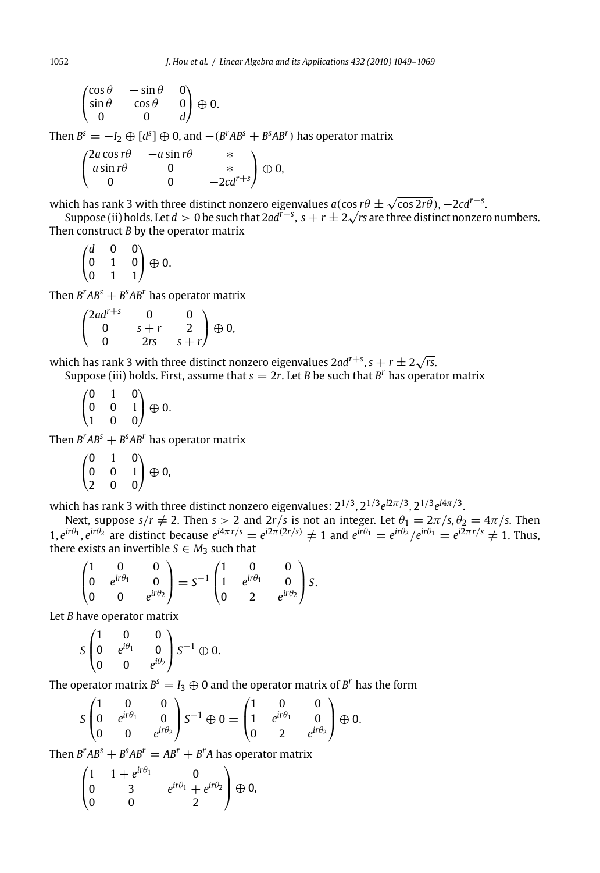$$
\begin{pmatrix}\n\cos \theta & -\sin \theta & 0 \\
\sin \theta & \cos \theta & 0 \\
0 & 0 & d\n\end{pmatrix} \oplus 0.
$$

Then  $B^s = -I_2 \oplus [d^s] \oplus 0$ , and  $-(B^rAB^s + B^sAB^r)$  has operator matrix

$$
\begin{pmatrix}\n2a\cos r\theta & -a\sin r\theta & * \\
a\sin r\theta & 0 & * \\
0 & 0 & -2cd^{r+s}\n\end{pmatrix} \oplus 0,
$$

which has rank 3 with three distinct nonzero eigenvalues  $a(\cos r\theta \pm \sqrt{\cos 2r\theta})$ ,  $-2c d^{r+s}.$ 

ich has rank 3 with three distinct nonzero eigenvalues  $a(\cos rt) \pm \sqrt{\cos 2 rt})$ ,  $-2 c d^{1/3}$ .<br>Suppose (ii) holds. Let  $d > 0$  be such that  $2 a d^{r+s}, \, s + r \pm 2 \sqrt{rs}$  are three distinct nonzero numbers. Then construct *B* by the operator matrix

$$
\begin{pmatrix} d & 0 & 0 \\ 0 & 1 & 0 \\ 0 & 1 & 1 \end{pmatrix} \oplus 0.
$$

Then  $B^rAB^s + B^sAB^r$  has operator matrix

$$
\begin{pmatrix}2ad^{r+s} & 0 & 0 \cr 0 & s+r & 2 \cr 0 & 2rs & s+r\end{pmatrix}\oplus 0,
$$

which has rank 3 with three distinct nonzero eigenvalues 2ad<sup>r+s</sup>, s + r  $\pm$  2 $\sqrt{r}$ s.

Suppose (iii) holds. First, assume that  $s = 2r$ . Let *B* be such that *B<sup>r</sup>* has operator matrix

 $\sqrt{2}$  $\mathbf{I}$ 010 001 100 ⎞  $\big\} \oplus 0.$ 

Then  $B^rAB^s + B^sAB^r$  has operator matrix

 $\sqrt{2}$  $\mathbf{I}$ 010 001 200 ⎞  $\bigoplus$  0,

which has rank 3 with three distinct nonzero eigenvalues: 21/3, 21/3*ei*2π/3, 21/3*ei*4π/3.

Next, suppose  $s/r \neq 2$ . Then  $s > 2$  and  $2r/s$  is not an integer. Let  $\theta_1 = 2\pi/s$ ,  $\theta_2 = 4\pi/s$ . Then 1,  $e^{i\tau\theta_1}$ ,  $e^{i\tau\theta_2}$  are distinct because  $e^{i4\pi\tau/s} = e^{i2\pi(2\tau/s)} \neq 1$  and  $e^{i\tau\theta_1} = e^{i\tau\theta_2}/e^{i\tau\theta_1} = e^{i2\pi\tau/s} \neq 1$ . Thus, there exists an invertible  $S \in M_3$  such that

$$
\begin{pmatrix} 1 & 0 & 0 \ 0 & e^{ir\theta_1} & 0 \ 0 & 0 & e^{ir\theta_2} \end{pmatrix} = S^{-1} \begin{pmatrix} 1 & 0 & 0 \ 1 & e^{ir\theta_1} & 0 \ 0 & 2 & e^{ir\theta_2} \end{pmatrix} S.
$$

Let *B* have operator matrix

$$
S\begin{pmatrix} 1 & 0 & 0 \\ 0 & e^{i\theta_1} & 0 \\ 0 & 0 & e^{i\theta_2} \end{pmatrix} S^{-1} \oplus 0.
$$

The operator matrix  $B^s = I_3 \oplus 0$  and the operator matrix of  $B^r$  has the form

$$
S\begin{pmatrix} 1 & 0 & 0 \\ 0 & e^{ir\theta_1} & 0 \\ 0 & 0 & e^{ir\theta_2} \end{pmatrix} S^{-1} \oplus 0 = \begin{pmatrix} 1 & 0 & 0 \\ 1 & e^{ir\theta_1} & 0 \\ 0 & 2 & e^{ir\theta_2} \end{pmatrix} \oplus 0.
$$

Then  $B^rAB^s + B^sAB^r = AB^r + B^rA$  has operator matrix

$$
\begin{pmatrix} 1 & 1+e^{ir\theta_1} & 0 \\ 0 & 3 & e^{ir\theta_1}+e^{ir\theta_2} \\ 0 & 0 & 2 \end{pmatrix} \oplus 0,
$$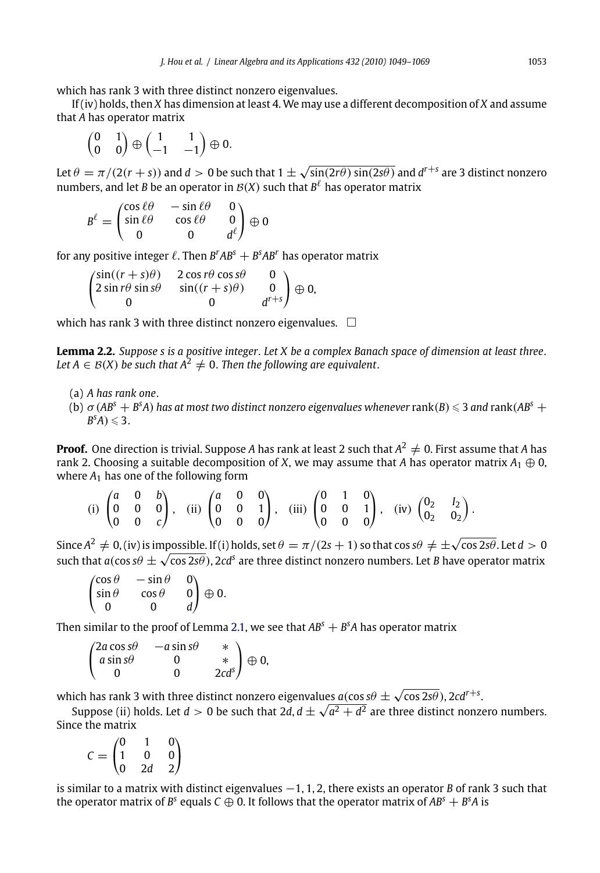which has rank 3 with three distinct nonzero eigenvalues.

If (iv) holds, then *X* has dimension at least 4. We may use a different decomposition of *X* and assume that *A* has operator matrix

$$
\begin{pmatrix} 0 & 1 \\ 0 & 0 \end{pmatrix} \oplus \begin{pmatrix} 1 & 1 \\ -1 & -1 \end{pmatrix} \oplus 0.
$$

Let  $\theta = \pi/(2(r + s))$  and  $d > 0$  be such that  $1 \pm \sqrt{\sin(2r\theta) \sin(2s\theta)}$  and  $d^{r+s}$  are 3 distinct nonzero numbers, and let *B* be an operator in  $\mathcal{B}(X)$  such that  $B^{\ell}$  has operator matrix

$$
B^{\ell} = \begin{pmatrix} \cos \ell \theta & -\sin \ell \theta & 0 \\ \sin \ell \theta & \cos \ell \theta & 0 \\ 0 & 0 & d^{\ell} \end{pmatrix} \oplus 0
$$

for any positive integer  $\ell$ . Then  $B^rAB^s + B^sAB^r$  has operator matrix

 $\sqrt{2}$  $\mathsf{I}$  $\sin((r + s)\theta)$  2 cos  $r\theta$  cos  $s\theta$  0  $2 \sin r\theta \sin s\theta$   $\sin((r+s)\theta)$  0 0  $d^{r+s}$ ⎞  $\Big\} \oplus 0,$ 

which has rank 3 with three distinct nonzero eigenvalues.  $\Box$ 

**Lemma 2.2.** *Suppose s is a positive integer*. *Let X be a complex Banach space of dimension at least three*. **Let**  $A \in B(X)$  be such that  $A^2 \neq 0$ . Then the following are equivalent.

(a) *A has rank one*.

(b)  $\sigma$  (AB<sup>s</sup> + B<sup>s</sup>A) has at most two distinct nonzero eigenvalues whenever  $\text{rank}(B) \leqslant 3$  and  $\text{rank}(AB^s +$  $B^sA) \leqslant 3.$ 

**Proof.** One direction is trivial. Suppose *A* has rank at least 2 such that  $A^2 \neq 0$ . First assume that *A* has rank 2. Choosing a suitable decomposition of *X*, we may assume that *A* has operator matrix  $A_1 \oplus 0$ , where  $A_1$  has one of the following f[orm](#page-2-0)

(i) 
$$
\begin{pmatrix} a & 0 & b \\ 0 & 0 & 0 \\ 0 & 0 & c \end{pmatrix}
$$
, (ii)  $\begin{pmatrix} a & 0 & 0 \\ 0 & 0 & 1 \\ 0 & 0 & 0 \end{pmatrix}$ , (iii)  $\begin{pmatrix} 0 & 1 & 0 \\ 0 & 0 & 1 \\ 0 & 0 & 0 \end{pmatrix}$ , (iv)  $\begin{pmatrix} 0_2 & I_2 \\ 0_2 & 0_2 \end{pmatrix}$ .

Since  $A^2 \neq 0$ , (iv) is impossible. If (i) holds, set  $\theta = \pi/(2s + 1)$  so that cos  $s\theta \neq \pm\sqrt{\cos 2s\theta}$ . Let  $d > 0$ such that  $a(\cos s\theta \pm \sqrt{\cos 2s\theta})$ ,  $2c\theta^s$  are three distinct nonzero numbers. Let *B* have operator matrix

$$
\begin{pmatrix}\n\cos \theta & -\sin \theta & 0 \\
\sin \theta & \cos \theta & 0 \\
0 & 0 & d\n\end{pmatrix} \oplus 0.
$$

Then similar to the proof of Lemma 2.1, we see that  $AB<sup>s</sup> + B<sup>s</sup>A$  has operator matrix

$$
\begin{pmatrix}\n2a\cos s\theta & -a\sin s\theta & * \\
a\sin s\theta & 0 & * \\
0 & 0 & 2cd^s\n\end{pmatrix} \oplus 0,
$$

which has rank 3 with three distinct nonzero eigenvalues  $a(\cos s\theta \pm \sqrt{\cos 2s\theta})$ , 2 $cd^{r+s}$ .

Suppose (ii) holds. Let *d* > 0 be such that  $2d$ ,  $d \pm \sqrt{a^2 + d^2}$  are three distinct nonzero numbers. Since the matrix

$$
C = \begin{pmatrix} 0 & 1 & 0 \\ 1 & 0 & 0 \\ 0 & 2d & 2 \end{pmatrix}
$$

is similar to a matrix with distinct eigenvalues −1, 1, 2, there exists an operator *B* of rank 3 such that the operator matrix of  $B^s$  equals  $C \oplus 0$ . It follows that the operator matrix of  $AB^s + B^sA$  is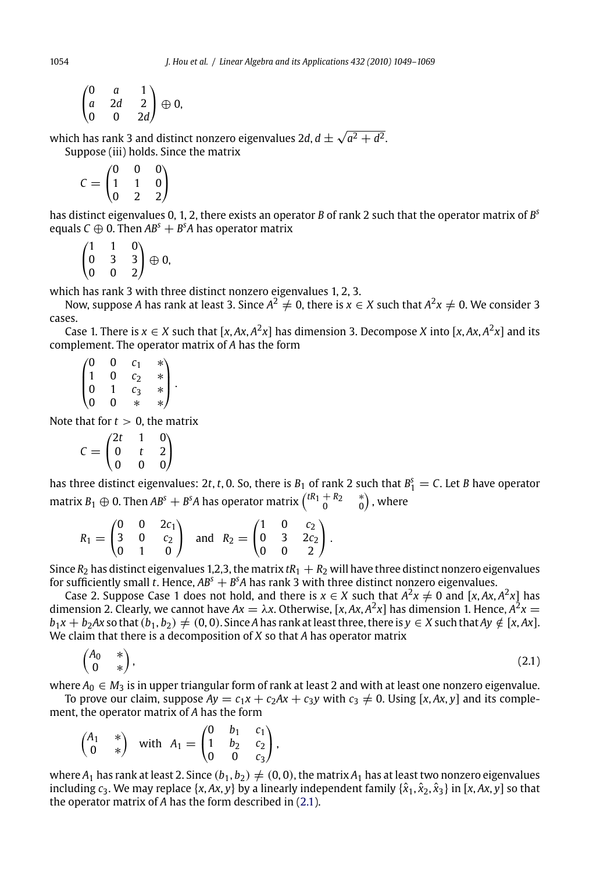$$
\begin{pmatrix} 0 & a & 1 \\ a & 2d & 2 \\ 0 & 0 & 2d \end{pmatrix} \oplus 0,
$$

which has rank 3 and distinct nonzero eigenvalues 2*d*,  $d \pm \sqrt{a^2 + d^2}$ . Suppose (iii) holds. Since the matrix

$$
C=\begin{pmatrix}0&0&0\\1&1&0\\0&2&2\end{pmatrix}
$$

has distinct eigenvalues 0, 1, 2, there exists an operator *B* of rank 2 such that the operator matrix of *B<sup>s</sup>* equals  $C \oplus 0$ . Then  $AB<sup>s</sup> + B<sup>s</sup>A$  has operator matrix

 $\sqrt{2}$  $\mathsf{I}$ 110 033 002 ⎞  $\bigoplus$  0,

which has rank 3 with three distinct nonzero eigenvalues 1, 2, 3.

Now, suppose *A* has rank at least 3. Since  $A^2 \neq 0$ , there is  $x \in X$  such that  $A^2x \neq 0$ . We consider 3 cases.

Case 1. There is  $x \in X$  such that  $[x, Ax, A^2x]$  has dimension 3. Decompose *X* into  $[x, Ax, A^2x]$  and its complement. The operator matrix of *A* has the form

 $\sqrt{2}$  $\parallel$ 0 0 *c*<sup>1</sup> ∗ 1 0 *c*<sup>2</sup> ∗ 0 1 *c*<sup>3</sup> ∗ 0 0 ∗ ∗ ⎞  $\vert \cdot \vert$ 

Note that for  $t > 0$ , the matrix

$$
C = \begin{pmatrix} 2t & 1 & 0 \\ 0 & t & 2 \\ 0 & 0 & 0 \end{pmatrix}
$$

has three distinct eigenvalues: 2t, t, 0. So, there is  $B_1$  of rank 2 such that  $B_1^s = C$ . Let *B* have operator matrix  $B_1 \oplus 0$ . Then  $AB^s + B^sA$  has operator matrix  $\begin{pmatrix} tR_1 + R_2 & * \ 0 & 0 \end{pmatrix}$  , where

$$
R_1 = \begin{pmatrix} 0 & 0 & 2c_1 \\ 3 & 0 & c_2 \\ 0 & 1 & 0 \end{pmatrix} \text{ and } R_2 = \begin{pmatrix} 1 & 0 & c_2 \\ 0 & 3 & 2c_2 \\ 0 & 0 & 2 \end{pmatrix}.
$$

Since  $R_2$  has distinct eigenvalues 1,2,3, the matrix  $tR_1 + R_2$  will have three distinct nonzero eigenvalues for sufficiently small *t*. Hence,  $AB^s + B^sA$  has rank 3 with three distinct nonzero eigenvalues.

Case 2. Suppose Case 1 does not hold, and there is  $x \in X$  such that  $A^2x \neq 0$  and [x,  $Ax$ ,  $A^2x$ ] has dimension 2. Clearly, we cannot have  $Ax = \lambda x$ . Otherwise, [x, Ax,  $A^2x$ ] has dimension 1. Hence,  $A^2x =$  $b_1x + b_2Ax$  so that  $(b_1, b_2) \neq (0, 0)$ . Since *A* has rank at least three, there is  $y \in X$  such that  $Ay \notin [x, Ax]$ . We claim that there is a decomposition of *X* so that *A* has operator matrix

$$
\begin{pmatrix} A_0 & * \\ 0 & * \end{pmatrix},\tag{2.1}
$$

where  $A_0 \in M_3$  is in upper triangular form of rank at least 2 and with at least one nonzero eigenvalue. To prove our claim, suppose  $Ay = c_1x + c_2Ax + c_3y$  with  $c_3 \neq 0$ . Using [*x*, *Ax*, *y*] and its complement, the operator matrix of *A* has the form

$$
\begin{pmatrix} A_1 & * \\ 0 & * \end{pmatrix} \text{ with } A_1 = \begin{pmatrix} 0 & b_1 & c_1 \\ 1 & b_2 & c_2 \\ 0 & 0 & c_3 \end{pmatrix},
$$

where  $A_1$  has rank at least 2. Since  $(b_1, b_2) \neq (0, 0)$ , the matrix  $A_1$  has at least two nonzero eigenvalues including  $c_3$ . We may replace  $\{x, Ax, y\}$  by a linearly independent family  $\{\hat{x}_1, \hat{x}_2, \hat{x}_3\}$  in  $[x, Ax, y]$  so that the operator matrix of *A* has the form described in (2.1).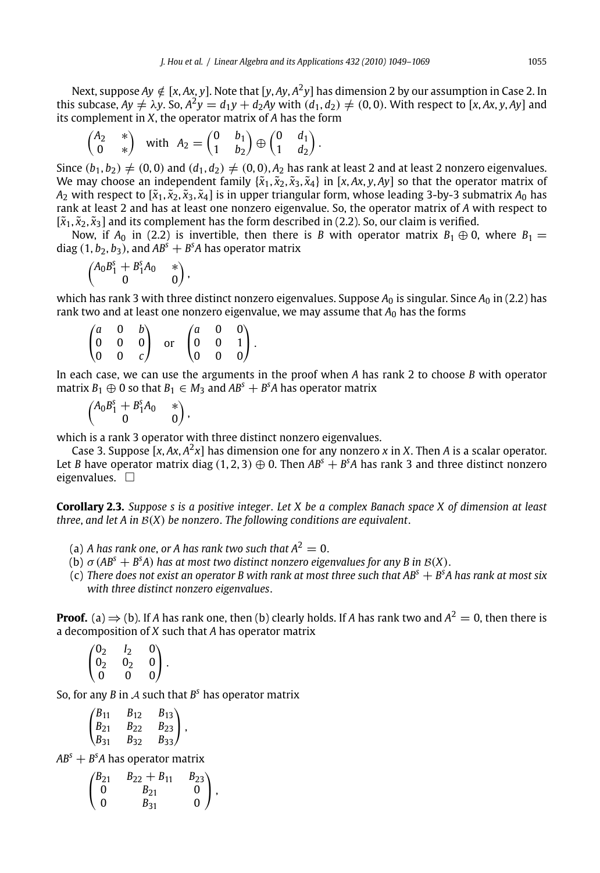Next, suppose  $Av \notin [x, Ax, y]$ . Note that  $[y, Ay, A^2y]$  has dimension 2 by our assumption in Case 2. In this subcase,  $Ay \neq \lambda y$ . So,  $A^2y = d_1y + d_2Ay$  with  $(d_1, d_2) \neq (0, 0)$ . With respect to [*x*, *Ax*, *y*, *Ay*] and its complement in *X*, the operator matrix of *A* has the form

$$
\begin{pmatrix} A_2 & * \\ 0 & * \end{pmatrix} \text{ with } A_2 = \begin{pmatrix} 0 & b_1 \\ 1 & b_2 \end{pmatrix} \oplus \begin{pmatrix} 0 & d_1 \\ 1 & d_2 \end{pmatrix}.
$$

Since  $(b_1, b_2) \neq (0, 0)$  and  $(d_1, d_2) \neq (0, 0)$ ,  $A_2$  has rank at least 2 and at least 2 nonzero eigenvalues. We may choose an independent family  $\{\tilde{x}_1, \tilde{x}_2, \tilde{x}_3, \tilde{x}_4\}$  in [*x*, *Ax*, *y*, *Ay*] so that the operator matrix of  $A_2$  with respect to  $[\tilde{x}_1, \tilde{x}_2, \tilde{x}_3, \tilde{x}_4]$  is in upper triangular form, whose leading 3-by-3 submatrix  $A_0$  has rank at least 2 and has at least one nonzero eigenvalue. So, the operator matrix of *A* with respect to  $[\tilde{x}_1, \tilde{x}_2, \tilde{x}_3]$  and its complement has the form described in (2.2). So, our claim is verified.

Now, if  $A_0$  in (2.2) is invertible, then there is *B* with operator matrix  $B_1 \oplus 0$ , where  $B_1 =$ diag  $(1, b_2, b_3)$ , and  $AB^s + B^sA$  has operator matrix

$$
\begin{pmatrix}A_0B_1^s+B_1^sA_0&*\\0&0\end{pmatrix},
$$

which has rank 3 with three distinct nonzero eigenvalues. Suppose  $A_0$  is singular. Since  $A_0$  in (2.2) has rank two and at least one nonzero eigenvalue, we may assume that  $A_0$  has the forms

|  | $\begin{pmatrix} a & 0 & b \\ 0 & 0 & 0 \\ 0 & 0 & c \end{pmatrix}$ or $\begin{pmatrix} a & 0 & 0 \\ 0 & 0 & 1 \\ 0 & 0 & 0 \end{pmatrix}$ . |  |  |
|--|----------------------------------------------------------------------------------------------------------------------------------------------|--|--|

In each case, we can use the arguments in the proof when *A* has rank 2 to choose *B* with operator matrix  $B_1 \oplus 0$  so that  $B_1 \in M_3$  and  $AB^s + B^sA$  has operator matrix

$$
\begin{pmatrix}A_0B_1^s+B_1^sA_0&*\\0&0\end{pmatrix},
$$

which is a rank 3 operator with three distinct nonzero eigenvalues.

Case 3. Suppose [*x*, *Ax*, *A*2*x*] has dimension one for any nonzero *x* in *X*. Then *A* is a scalar operator. Let *B* have operator matrix diag  $(1, 2, 3) \oplus 0$ . Then  $AB<sup>s</sup> + B<sup>s</sup>A$  has rank 3 and three distinct nonzero eigenvalues.  $\square$ 

**Corollary 2.3.** *Suppose s is a positive integer*. *Let X be a complex Banach space X of dimension at least three*, *and let A in* <sup>B</sup>(*X*) *be nonzero*. *The following conditions are equivalent*.

- (a) *A* has rank one, or *A* has rank two such that  $A^2 = 0$ .
- (b)  $\sigma$  (AB<sup>*s*</sup> + B<sup>*s*</sup>A) has at most two distinct nonzero eigenvalues for any B in B(X).
- (c) *There does not exist an operator B with rank at most three such that AB<sup>s</sup>* + *B<sup>s</sup> A has rank at most six with three distinct nonzero eigenvalues*.

**Proof.** (a)  $\Rightarrow$  (b). If *A* has rank one, then (b) clearly holds. If *A* has rank two and  $A^2 = 0$ , then there is a decomposition of *X* such that *A* has operator matrix

$$
\begin{pmatrix} 0_2 & I_2 & 0 \ 0_2 & 0_2 & 0 \ 0 & 0 & 0 \end{pmatrix}.
$$

So, for any *B* in *A* such that  $B^s$  has operator matrix

$$
\begin{pmatrix} B_{11} & B_{12} & B_{13} \ B_{21} & B_{22} & B_{23} \ B_{31} & B_{32} & B_{33} \end{pmatrix},
$$

*AB<sup>s</sup>* + *B<sup>s</sup> A* has operator matrix

$$
\begin{pmatrix} B_{21} & B_{22} + B_{11} & B_{23} \\ 0 & B_{21} & 0 \\ 0 & B_{31} & 0 \end{pmatrix},
$$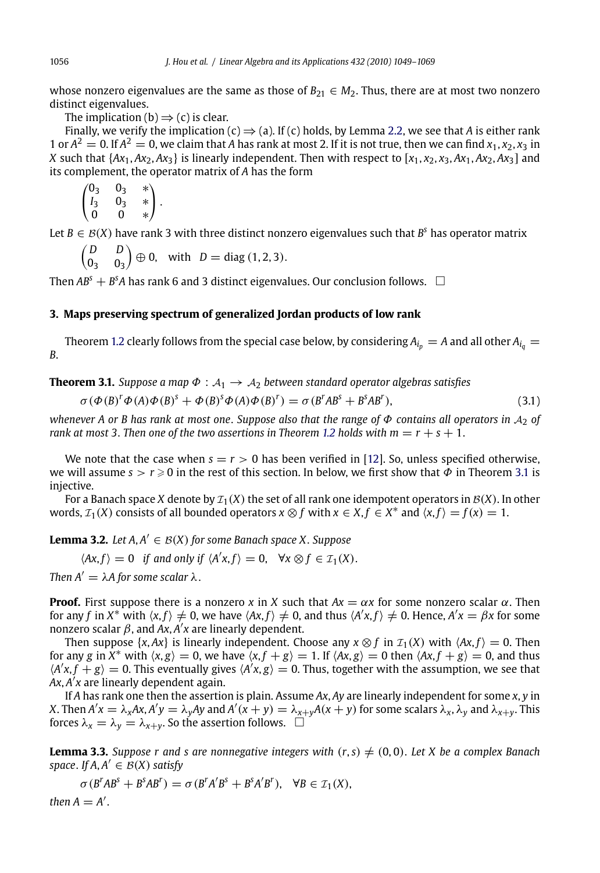whose nonzero eigenvalues are the same as those of  $B_{21} \in M_2$ . Thus, there are at most two nonzero distinct eigenvalues.

The implication (b)  $\Rightarrow$  (c) is clear.

Finally, we verify the implication (c)  $\Rightarrow$  (a). If (c) holds, by Lemma 2.2, we see that *A* is either rank 1 or  $A^2 = 0$ . If  $A^2 = 0$ , we claim that A has rank at most 2. If it is not true, then we can find  $x_1, x_2, x_3$  in *X* such that  $\{Ax_1, Ax_2, Ax_3\}$  is linearly independent. Then with respect to  $[x_1, x_2, x_3, Ax_1, Ax_2, Ax_3]$  and its complement, the operator matrix of *A* has the form

$$
\begin{pmatrix} 0_3 & 0_3 & * \\ I_3 & 0_3 & * \\ 0 & 0 & * \end{pmatrix}.
$$

Let  $B \in \mathcal{B}(X)$  have rank 3 with three distinct nonzero eigenvalues such that  $B^s$  has operator matrix

$$
\begin{pmatrix} D & D \\ 0_3 & 0_3 \end{pmatrix} \oplus 0, \text{ with } D = \text{diag}(1, 2, 3).
$$

Then  $AB^s + B^sA$  has rank 6 and 3 distinct eigenvalues. O[ur c](#page-1-0)onclusion follows.  $\Box$ 

# **3. Maps preserving spectrum of generalized Jordan products [of lo](#page-20-0)w rank**

Theorem 1.2 clearly follows from the special case below, by considering  $A_{i_p} = A$  and all other  $A_{i_q} =$ *B*.

**Theorem 3.1.** *Suppose a map*  $\Phi : A_1 \rightarrow A_2$  *between standard operator algebras satisfies* 

$$
\sigma(\Phi(B)^{r}\Phi(A)\Phi(B)^{s} + \Phi(B)^{s}\Phi(A)\Phi(B)^{r}) = \sigma(B^{r}AB^{s} + B^{s}AB^{r}),
$$
\n(3.1)

*whenever A or B has rank at most one*. *Suppose also that the range of* Φ *contains all operators in* <sup>A</sup><sup>2</sup> *of rank at most 3. Then one of the two assertions in Theorem 1.2 holds with*  $m = r + s + 1$ *.* 

We note that the case when  $s = r > 0$  has been verified in [12]. So, unless specified otherwise, we will assume  $s > r \geqslant 0$  in the rest of this section. In below, we first show that  $\Phi$  in Theorem 3.1 is injective.

For a Banach space *X* denote by  $\mathcal{I}_1(X)$  the set of all rank one idempotent operators in  $\mathcal{B}(X)$ . In other words,  $\mathcal{I}_1(X)$  consists of all bounded operators  $x \otimes f$  with  $x \in X, f \in X^*$  and  $\langle x, f \rangle = f(x) = 1$ .

**Lemma 3.2.** *Let*  $A, A' \in B(X)$  *for some Banach space X. Suppose* 

 $\langle Ax, f \rangle = 0$  *if and only if*  $\langle A'x, f \rangle = 0$ ,  $\forall x \otimes f \in \mathcal{I}_1(X)$ .

*Then*  $A' = \lambda A$  for some scalar  $\lambda$ .

**Proof.** First suppose there is a nonzero *x* in *X* such that  $Ax = \alpha x$  for some nonzero scalar  $\alpha$ . Then for any  $f$  in  $X^*$  with  $\langle x,f\rangle\neq 0$ , we have  $\langle Ax,f\rangle\neq 0$ , and thus  $\langle A'x,f\rangle\neq 0$ . Hence,  $A'x=\beta x$  for some nonzero scalar β, and *Ax*, *<sup>A</sup> x* are linearly dependent.

Then suppose  $\{x, Ax\}$  is linearly independent. Choose any  $x \otimes f$  in  $\mathcal{I}_1(X)$  with  $\langle Ax, f \rangle = 0$ . Then for any *g* in  $X^*$  with  $\langle x, g \rangle = 0$ , we have  $\langle x, f + g \rangle = 1$ . If  $\langle Ax, g \rangle = 0$  then  $\langle Ax, f + g \rangle = 0$ , and thus  $\langle A'x, f + g \rangle = 0$ . This eventually gives  $\langle A'x, g \rangle = 0$ . Thus, together with the assumption, we see that  $Ax$ ,  $A'x$  are linearly dependent again.

If *A* has rank one then the assertion is plain. Assume *Ax*, *Ay* are linearly independent for some *x*, *y* in X. Then  $A'x = \lambda_x Ax$ ,  $A'y = \lambda_y Ay$  and  $A'(x + y) = \lambda_{x+y}A(x + y)$  for some scalars  $\lambda_x$ ,  $\lambda_y$  and  $\lambda_{x+y}$ . This forces  $\lambda_x = \lambda_y = \lambda_{x+y}$ . So the assertion follows.  $\Box$ 

**Lemma 3.3.** *Suppose r and s are nonnegative integers with*  $(r, s) \neq (0, 0)$ . *Let X be a complex Banach space. If A, A*<sup> $\prime$ </sup>  $\in$  *B*(*X*) *satisfy* 

 $\sigma(B^rAB^s + B^sAB^r) = \sigma(B^rA'B^s + B^sA'B^r), \quad \forall B \in \mathcal{I}_1(X),$ 

*then*  $A = A'$ .

<span id="page-7-0"></span>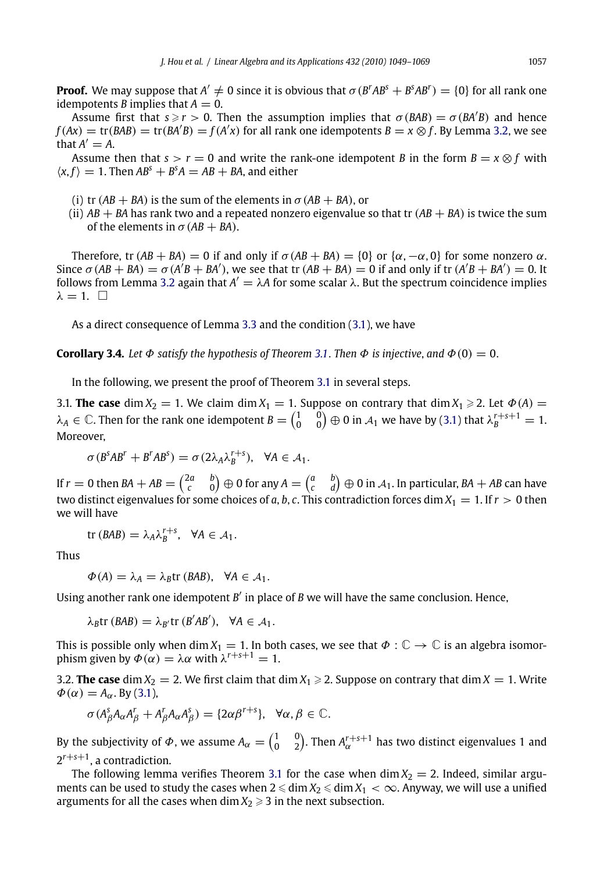<span id="page-8-0"></span>**Proof.** We may suppose that  $A' \neq 0$  since it is obvious that  $\sigma(B^rAB^s + B^sAB^r) = \{0\}$  for all rank one idempotents *B* implies that  $A = 0$ .

Assume first that  $s \ge r > 0$ . Then the assumption implies that  $\sigma(BAB) = \sigma(BA'B)$  and hence  $f(Ax) = \text{tr}(BAB) = \text{tr}(B\overline{A'B}) = f(A'x)$  $f(Ax) = \text{tr}(BAB) = \text{tr}(B\overline{A'B}) = f(A'x)$  $f(Ax) = \text{tr}(BAB) = \text{tr}(B\overline{A'B}) = f(A'x)$  for all rank one idempotents  $B = x \otimes f$ . By Lemma 3.2, we see that  $A' = A$ .

Assume then that  $s > r = 0$  and write the rank-one idempotent *B* in the form  $B = x \otimes f$  with  $\langle x, f \rangle = 1$ . Then  $AB^s + B^sA = AB + BA$ , and either

- (i) tr  $(AB + BA)$  is the sum of the elements in  $\sigma(AB + BA)$ , or
- (ii)  $AB + BA$  has rank two and a repeated nonzero [eige](#page-7-0)nvalue so that tr  $(AB + BA)$  is twice the sum of the elements in  $\sigma$  (AB + BA).

Therefore, tr  $(AB + BA) = 0$  if and only if  $\sigma(AB + BA) = \{0\}$  or  $\{\alpha, -\alpha, 0\}$  for some nonzero  $\alpha$ . Since  $\sigma$  (AB + BA) =  $\sigma$  (A<sup>'</sup>B + BA'), we see that tr (AB + BA) = 0 if and only if tr (A'B + BA') = 0. It follows fro[m](#page-7-0) Lemma 3.2 again that  $A' = \lambda A$  for some scalar  $\lambda$ . But the spectrum [co](#page-7-0)incidence implies  $\lambda = 1.$   $\Box$ 

As a direct consequence of Lemma 3.3 and the condition (3.1), we have

**Corollary 3.4.** Let  $\Phi$  satisfy the hypothesis of Theorem 3.1. Then  $\Phi$  is injective, and  $\Phi(0) = 0$ .

In the following, we present the proof of Theorem 3.1 in several steps.

3.1. **The case** dim  $X_2 = 1$ . We claim dim  $X_1 = 1$ . Suppose on contrary that dim  $X_1 \ge 2$ . Let  $\Phi(A) =$  $\lambda_A\in\mathbb{C}.$  Then for the rank one idempotent  $B=\begin{pmatrix}1&0\0&0\end{pmatrix}\oplus 0$  in  $\mathcal{A}_1$  we have by (3.1) that  $\lambda_B^{r+s+1}=1.$ Moreover,

 $\sigma(B^sAB^r + B^rAB^s) = \sigma(2\lambda_A\lambda_B^{r+s}), \quad \forall A \in \mathcal{A}_1.$ 

If  $r=0$  then  $BA+AB={2a\choose c}\oplus 0$  for any  $A={a\choose c-d}\oplus 0$  in  $\mathcal{A}_1.$  In particular,  $BA+AB$  can have two distinct eigenvalues for some choices of *a*, *b*, *c*. This contradiction forces dim  $X_1 = 1$ . If  $r > 0$  then we will have

$$
\text{tr}(BAB) = \lambda_A \lambda_B^{r+s}, \quad \forall A \in \mathcal{A}_1.
$$

Thus

$$
\Phi(A) = \lambda_A = \lambda_B \text{tr}(BAB), \quad \forall A \in \mathcal{A}_1.
$$

Using another rank one idempotent  $B'$  in place of  $B$  we will have the same conclusion. Hence,

$$
\lambda_B \text{tr} (BAB) = \lambda_{B'} \text{tr} (B'AB'), \quad \forall A \in \mathcal{A}_1.
$$

This is possible only when dim  $X_1 = 1$ . In both cases, we see that  $\Phi : \mathbb{C} \to \mathbb{C}$  is an algebra isomorphism given by  $\Phi(\alpha) = \lambda \alpha$  with  $\lambda^{r+s+1} = 1$ .

3.2. **The case** dim  $X_2 = 2$ . We first claim that dim  $X_1 \ge 2$ . Suppose on contrary that dim  $X = 1$ . Write  $\Phi(\alpha) = A_{\alpha}$ . By (3.1),

$$
\sigma(A_{\beta}^{s}A_{\alpha}A_{\beta}^{r} + A_{\beta}^{r}A_{\alpha}A_{\beta}^{s}) = \{2\alpha\beta^{r+s}\}, \ \forall \alpha, \beta \in \mathbb{C}.
$$

By the subjectivity of  $\phi$ , we assume  $A_\alpha = \begin{pmatrix} 1 & 0 \ 0 & 2 \end{pmatrix}$ . Then  $A_\alpha^{r+s+1}$  has two distinct eigenvalues 1 and 2*r*+*s*+1, a contradiction.

The following lemma verifies Theorem 3.1 for the case when  $\dim X_2 = 2$ . Indeed, similar arguments can be used to study the cases when  $2 \leq \dim X_2 \leq \dim X_1 < \infty$ . Anyway, we will use a unified arguments for all the cases when  $\dim X_2 \geqslant 3$  in the next subsection.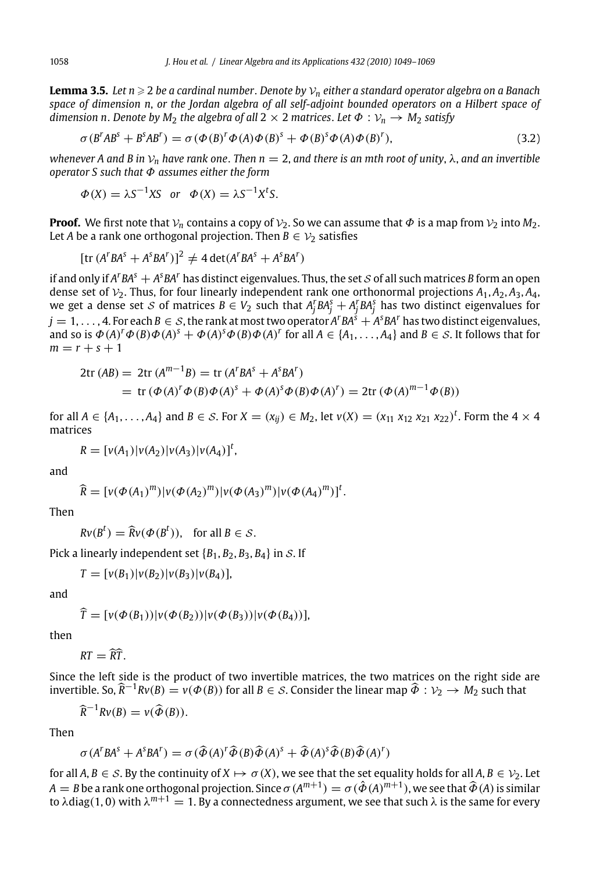**Lemma 3.5.** Let n  $\geqslant$  2 be a cardinal number. Denote by  $\mathcal{V}_n$  either a standard operator algebra on a Banach *space of dimension n*, *or the Jordan algebra of all self-adjoint bounded operators on a Hilbert space of dimension n. Denote by M<sub>2</sub> the algebra of all*  $2 \times 2$  *matrices. Let*  $\Phi : \mathcal{V}_n \to M_2$  *satisfy* 

$$
\sigma(B^rAB^s + B^sAB^r) = \sigma(\Phi(B)^r\Phi(A)\Phi(B)^s + \Phi(B)^s\Phi(A)\Phi(B)^r),
$$
\n(3.2)

*whenever A and B in*  $V_n$  *have rank one. Then n* = 2, *and there is an mth root of unity*,  $\lambda$ , *and an invertible operator S such that* Φ *assumes either the form*

$$
\Phi(X) = \lambda S^{-1} X S \quad \text{or} \quad \Phi(X) = \lambda S^{-1} X^t S.
$$

**Proof.** We first note that  $V_n$  contains a copy of  $V_2$ . So we can assume that  $\Phi$  is a map from  $V_2$  into  $M_2$ . Let *A* be a rank one orthogonal projection. Then  $B \in V_2$  satisfies

$$
[\text{tr}(A^rBA^s + A^sBA^r)]^2 \neq 4 \det(A^rBA^s + A^sBA^r)
$$

if and only if  $A^rBA^s + A^sBA^r$  has distinct eigenvalues. Thus, the set  $S$  of all such matrices  $B$  form an open dense set of  $V_2$ . Thus, for four linearly independent rank one orthonormal projections  $A_1$ ,  $A_2$ ,  $A_3$ ,  $A_4$ , we get a dense set  $S$  of matrices  $B \in V_2$  such that  $A_j^rBA_j^s + A_j^rBA_j^s$  has two distinct eigenvalues for  $j = 1, \ldots, 4$ . For each  $B \in S$ , the rank at most two operator  $A^rBA^s + A^sBA^r$  has two distinct eigenvalues, and so is  $\Phi(A)^r \Phi(B) \Phi(A)^s + \Phi(A)^s \Phi(B) \Phi(A)^r$  for all  $A \in \{A_1, \ldots, A_4\}$  and  $B \in S$ . It follows that for  $m = r + s + 1$ 

$$
2\text{tr}(AB) = 2\text{tr}(A^{m-1}B) = \text{tr}(A^rBA^s + A^sBA^r)
$$
  
= 
$$
\text{tr}(\Phi(A)^r\Phi(B)\Phi(A)^s + \Phi(A)^s\Phi(B)\Phi(A)^r) = 2\text{tr}(\Phi(A)^{m-1}\Phi(B))
$$

for all  $A \in \{A_1, ..., A_4\}$  and  $B \in S$ . For  $X = (x_{ij}) \in M_2$ , let  $v(X) = (x_{11} x_{12} x_{21} x_{22})^t$ . Form the  $4 \times 4$ matrices

$$
R = [v(A_1)|v(A_2)|v(A_3)|v(A_4)]^t,
$$

and

$$
\widehat{R} = [v(\Phi(A_1)^m)|v(\Phi(A_2)^m)|v(\Phi(A_3)^m)|v(\Phi(A_4)^m)]^t.
$$

Then

 $Rv(B^t) = \widehat{R}v(\Phi(B^t))$ , for all  $B \in S$ .

Pick a linearly independent set  ${B_1, B_2, B_3, B_4}$  in S. If

 $T = [v(B_1)|v(B_2)|v(B_3)|v(B_4)],$ 

and

$$
\widehat{T} = [v(\Phi(B_1))|v(\Phi(B_2))|v(\Phi(B_3))|v(\Phi(B_4))],
$$

then

$$
RT = \widehat{RT}.
$$

Since the left side is the product of two invertible matrices, the two matrices on the right side are invertible. So,  $\hat{R}^{-1}Rv(B) = v(\Phi(B))$  for all  $B \in S$ . Consider the linear map  $\hat{\Phi}: \mathcal{V}_2 \to M_2$  such that

$$
\widehat{R}^{-1}Rv(B)=v(\widehat{\Phi}(B)).
$$

Then

$$
\sigma(A^rBA^s + A^sBA^r) = \sigma(\widehat{\Phi}(A)^r \widehat{\Phi}(B) \widehat{\Phi}(A)^s + \widehat{\Phi}(A)^s \widehat{\Phi}(B) \widehat{\Phi}(A)^r)
$$

for all  $A, B \in S$ . By the continuity of  $X \mapsto \sigma(X)$ , we see that the set equality holds for all  $A, B \in V_2$ . Let  $A=B$  be a rank one orthogonal projection. Since  $\sigma(A^{m+1})=\sigma(\hat{\phi}(A)^{m+1})$ , we see that  $\widehat{\phi}(A)$  is similar to  $\lambda$ diag(1, 0) with  $\lambda^{m+1} = 1$ . By a connectedness argument, we see that such  $\lambda$  is the same for every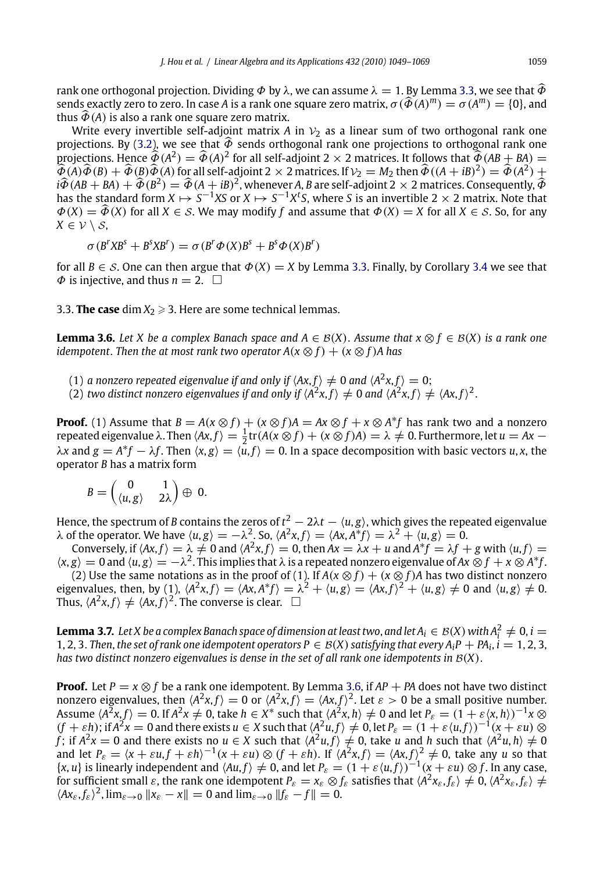<span id="page-10-0"></span>rank one orthogonal projection. Dividing  $\Phi$  by  $\lambda$ , we can assume  $\lambda = 1$ . By Lemma 3.3, we see that  $\widehat{\Phi}$ sends exactly zero to zero. In case *A* is a rank one square zero matrix,  $\sigma(\widehat{\Phi}(A)^m) = \sigma(A^m) = \{0\}$ , and thus  $\widehat{\Phi}(A)$  is also a rank one square zero matrix.

Write every invertible self-adjoint matrix *A* in  $V_2$  as a [line](#page-7-0)ar sum of two ortho[gon](#page-8-0)al rank one projections. By (3.2), we see that  $\hat{\Phi}$  sends orthogonal rank one projections to orthogonal rank one projections. Hence  $\widehat{\Phi}(A^2) = \widehat{\Phi}(A)^2$  for all self-adjoint 2 × 2 matrices. It follows that  $\widehat{\Phi}(AB + BA)$  =  $\hat{\hat{\Phi}}(A)\hat{\Phi}(B) + \hat{\Phi}(B)\hat{\Phi}(A)$  for all self-adjoint 2  $\times$  2 matrices. If  $\mathcal{V}_2 = M_2$  then  $\hat{\Phi}((A + iB)^2) = \hat{\Phi}(A^2) + \hat{\Phi}(A^2)$  $i\widehat{\Phi}(AB+BA)+\widehat{\Phi}(B^2)=\widehat{\Phi}(A+iB)^2$ , whenever *A*, *B* are self-adjoint 2  $\times$  2 matrices. Consequently,  $\widehat{\Phi}$ has the standard form  $X \mapsto S^{-1}XS$  or  $X \mapsto S^{-1}X^tS$ , where *S* is an invertible 2  $\times$  2 matrix. Note that  $\Phi(X) = \widehat{\Phi}(X)$  for all  $X \in S$ . We may modify f and assume that  $\Phi(X) = X$  for all  $X \in S$ . So, for any  $X \in \mathcal{V} \setminus \mathcal{S}$ ,

$$
\sigma(B^rXB^s + B^sXB^r) = \sigma(B^r\Phi(X)B^s + B^s\Phi(X)B^r)
$$

for all  $B \in S$ . One can then argue that  $\Phi(X) = X$  by Lemma 3.3. Finally, by Corollary 3.4 we see that  $\Phi$  is injective, and thus  $n = 2$ .  $\Box$ 

3.3. **The case** dim  $X_2 \ge 3$ . Here are some technical lemmas.

**Lemma 3.6.** *Let X be a complex Banach space and A* ∈  $B(X)$ . *Assume that*  $x \otimes f \in B(X)$  *is a rank one idempotent. Then the at most rank two operator*  $A(x \otimes f) + (x \otimes f)A$  has

- (1) *a nonzero repeated eigenvalue if and only if*  $\langle Ax, f \rangle \neq 0$  *and*  $\langle A^2x, f \rangle = 0$ ;
- (2) *two distinct nonzero eigenvalues if and only if*  $\langle A^2x, f \rangle \neq 0$  *and*  $\langle A^2x, f \rangle \neq \langle Ax, f \rangle^2$ .

**Proof.** (1) Assume that  $B = A(x \otimes f) + (x \otimes f)A = Ax \otimes f + x \otimes A^*f$  has rank two and a nonzero repeated eigenvalue  $\lambda$ . Then  $\langle Ax, f \rangle = \frac{1}{2} \text{tr}(A(x \otimes f) + (x \otimes f)A) = \lambda \neq 0$ . Furthermore, let  $u = Ax \lambda x$  and  $g = A^*f - \lambda f$ . Then  $\langle x, g \rangle = \langle u, f \rangle = 0$ . In a space decomposition with basic vectors *u*, *x*, the operator *B* has a matrix form

$$
B=\begin{pmatrix}0&1\\ \langle u,g\rangle&2\lambda\end{pmatrix}\oplus 0.
$$

Hence, the spectrum of *B* contains the zeros of  $t^2-2\lambda t-\langle u,g\rangle$ , which gives the repeated eigenvalue  $\lambda$  of the operator. We have  $\langle u, g \rangle = -\lambda^2$ . So,  $\langle A^2x, f \rangle = \langle Ax, A^*f \rangle = \lambda^2 + \langle u, g \rangle = 0$ .

Conversely, if  $\langle Ax, f \rangle = \lambda \neq 0$  and  $\langle A^2x, f \rangle = 0$ , then  $Ax = \lambda x + u$  and  $A^*f = \lambda f + g$  with  $\langle u, f \rangle = 0$  $\langle x, g \rangle = 0$  and  $\langle u, g \rangle = -\lambda^2$ . This implies that  $\lambda$  is a repeated nonzero eigenvalue of *Ax* ⊗ *f* + *x* ⊗ *A*<sup>\*</sup>*f*.

(2) Use the same notations as in the proof of (1). If  $A(x \otimes f) + (x \otimes f)A$  has two distinct nonzero eigenvalues, then, by (1),  $\langle A^2x,f\rangle = \langle Ax,A^*f\rangle = \lambda^2 + \langle u,g\rangle = \langle Ax,f\rangle^2 + \langle u,g\rangle \neq 0$  and  $\langle u,g\rangle \neq 0$ . Thus,  $\langle A^2x,f\rangle \neq \langle Ax,f\rangle^2$ . The converse is clear.  $\Box$ 

**Lemma 3.7.** Let X be a complex Banach space of dimension at least two, and let  $A_i \in B(X)$  with  $A_i^2 \neq 0$ ,  $i =$ 1, 2, 3. Then, the set of rank one idempotent operators  $P \in B(X)$  satisfying that every  $A_iP + PA_i$ ,  $i = 1, 2, 3$ , *has two distinct nonzero eigenvalues is dense in the set of all rank one idempotents in*  $B(X)$ .

**Proof.** Let *P* = *x*  $\otimes$  *f* be a rank one idempotent. By Lemma 3.6, if *AP* + *PA* does not have two distinct nonzero eigenvalues, then  $\langle A^2x,f\rangle=0$  or  $\langle A^2x,f\rangle=\langle Ax,f\rangle^2$ . Let  $\varepsilon>0$  be a small positive number. Assume  $\langle A^2x,f\rangle = 0$ . If  $A^2x \neq 0$ , take  $h \in X^*$  such that  $\langle A^2x,h\rangle \neq 0$  and let  $P_{\varepsilon} = (1 + \varepsilon \langle x,h \rangle)^{-1}x \otimes$  $(f + \varepsilon h)$ ; if  $A^2x = 0$  and there exists  $u \in X$  such that  $\langle A^2u, f \rangle \neq 0$ , let  $P_{\varepsilon} = (1 + \varepsilon \langle u, f \rangle)^{-1} (x + \varepsilon u) \otimes$ *f*; if  $A^2x = 0$  and there exists no  $u \in X$  such that  $\langle A^2u, f \rangle \neq 0$ , take *u* and *h* such that  $\langle A^2u, h \rangle \neq 0$ and let  $P_{\varepsilon} = \langle x + \varepsilon u, f + \varepsilon h \rangle^{-1} (x + \varepsilon u) \otimes (f + \varepsilon h)$ . If  $\langle A^2x, f \rangle = \langle Ax, f \rangle^2 \neq 0$ , take any *u* so that  $\{x, u\}$  is linearly independent and  $\langle Au, f \rangle \neq 0$ , and let  $P_{\varepsilon} = (1 + \varepsilon \langle u, f \rangle)^{-1} (\chi + \varepsilon u) \otimes f$ . In any case, for sufficient small  $\varepsilon$ , the rank one idempotent  $P_{\varepsilon} = x_{\varepsilon} \otimes f_{\varepsilon}$  satisfies that  $\langle A^2 x_{\varepsilon}, f_{\varepsilon} \rangle \neq 0$ ,  $\langle A^2 x_{\varepsilon}, f_{\varepsilon} \rangle \neq 0$  $\langle Ax_{\varepsilon}, f_{\varepsilon} \rangle^2$ ,  $\lim_{\varepsilon \to 0} ||x_{\varepsilon} - x|| = 0$  and  $\lim_{\varepsilon \to 0} ||f_{\varepsilon} - f|| = 0$ .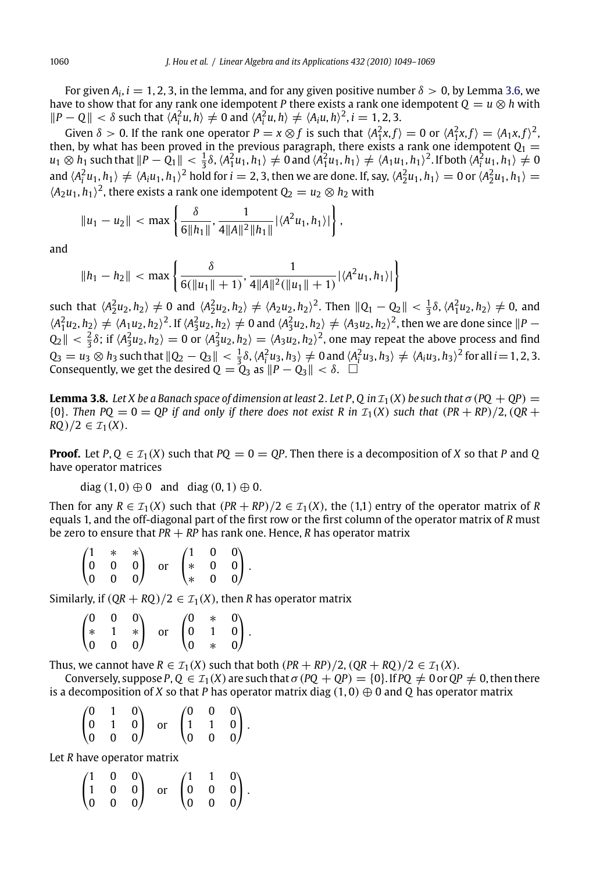For given  $A_i$ ,  $i = 1, 2, 3$ , in the lemma, and for any given positive number  $\delta > 0$ , by Lemma 3.6, we have to show that for any rank one idempotent *P* there exists a rank one idempotent  $Q = u \otimes h$  with *|P* − *Q*|*|* < δ such that  $\langle A_i^2 u, h \rangle \neq 0$  and  $\langle A_i^2 u, h \rangle \neq \langle A_i u, h \rangle^2$ , *i* = 1, 2, 3.

Given  $\delta > 0$ . If the rank one operator  $P = x \otimes f$  is such that  $\langle A_1^2 x, f \rangle = 0$  or  $\langle A_1^2 x, f \rangle = \langle A_1 x, f \rangle^2$ , then, by what has been proved in the previous paragraph, there exists a rank one idempotent  $Q_1 =$  $u_1\otimes h_1$  such that  $||P-Q_1||<\frac{1}{3}\delta$ ,  $\langle A_1^2u_1,h_1\rangle\neq 0$  and  $\langle A_1^2u_1,h_1\rangle\neq \langle A_1u_1,h_1\rangle^2$ . If both  $\langle A_i^2u_1,h_1\rangle\neq 0$ and  $\langle A_i^2u_1, h_1\rangle \neq \langle A_iu_1, h_1\rangle^2$  hold for  $i=2,3$ , then we are done. If, say,  $\langle A_2^2u_1, h_1\rangle = 0$  or  $\langle A_2^2u_1, h_1\rangle = 0$  $\langle A_2 u_1, h_1 \rangle^2$ , there exists a rank one idempotent  $Q_2 = u_2 \otimes h_2$  with

$$
||u_1 - u_2|| < \max \left\{ \frac{\delta}{6||h_1||}, \frac{1}{4||A||^2||h_1||} |\langle A^2 u_1, h_1 \rangle| \right\},\,
$$

and

$$
||h_1 - h_2|| < \max \left\{ \frac{\delta}{6(||u_1|| + 1)}, \frac{1}{4||A||^2(||u_1|| + 1)} |\langle A^2 u_1, h_1 \rangle| \right\}
$$

such that  $\langle A_2^2 u_2, h_2 \rangle \neq 0$  and  $\langle A_2^2 u_2, h_2 \rangle \neq \langle A_2 u_2, h_2 \rangle^2$ . Then  $||Q_1 - Q_2|| < \frac{1}{3}\delta, \langle A_1^2 u_2, h_2 \rangle \neq 0$ , and  $\langle A_1^2u_2, h_2 \rangle \neq \langle A_1u_2, h_2 \rangle^2$ . If  $\langle A_2^2u_2, h_2 \rangle \neq 0$  and  $\langle A_3^2u_2, h_2 \rangle \neq \langle A_3u_2, h_2 \rangle^2$ , then we are done since  $\|P - P\|$  $Q_2|| < \frac{2}{3}\delta$ ; if  $\langle A_3^2u_2, h_2\rangle = 0$  or  $\langle A_3^2u_2, h_2\rangle = \langle A_3u_2, h_2\rangle^2$ , one may repeat the above process and find  $Q_3 = u_3 \otimes h_3$  such that  $||Q_2 - Q_3|| < \frac{1}{3}\delta$ ,  $\langle A_i^2 u_3, h_3 \rangle \neq 0$  and  $\langle A_i^2 u_3, h_3 \rangle \neq \langle A_i u_3, h_3 \rangle^2$  for all  $i = 1, 2, 3$ . Consequently, we get the desired  $Q = Q_3$  as  $||P - Q_3|| < \delta$ .

**Lemma 3.8.** *Let X be a Banach space of dimension at least 2. Let P, Q in*  $\mathcal{I}_1(X)$  *be such that*  $\sigma$  (*PQ* + *QP*) =  ${0}$ . *Then PQ* = 0 = *QP* if and only if there does not exist R in  $I_1(X)$  such that  $(PR + RP)/2$ ,  $(QR +$ *RQ*)/2 ∈  $\mathcal{I}_1(X)$ .

**Proof.** Let  $P$ ,  $Q \in \mathcal{I}_1(X)$  such that  $PQ = 0 = QP$ . Then there is a decomposition of *X* so that *P* and *Q* have operator matrices

diag  $(1, 0) \oplus 0$  and diag  $(0, 1) \oplus 0$ .

Then for any  $R \in \mathcal{I}_1(X)$  such that  $(PR + RP)/2 \in \mathcal{I}_1(X)$ , the (1,1) entry of the operator matrix of *R* equals 1, and the off-diagonal part of the first row or the first column of the operator matrix of *R* must be zero to ensure that *PR* + *RP* has rank one. Hence, *R* has operator matrix

|  |  | $\begin{pmatrix} 1 & * & * \\ 0 & 0 & 0 \\ 0 & 0 & 0 \end{pmatrix} \quad \text{or} \quad \begin{pmatrix} 1 & 0 & 0 \\ * & 0 & 0 \\ * & 0 & 0 \end{pmatrix}.$ |  |  |
|--|--|--------------------------------------------------------------------------------------------------------------------------------------------------------------|--|--|

Similarly, if  $(QR + RQ)/2 \in \mathcal{I}_1(X)$ , then *R* has operator matrix

|  |  |  | $\begin{pmatrix} 0 & 0 & 0 \\ * & 1 & * \\ 0 & 0 & 0 \end{pmatrix} \ \ \text{or} \ \ \begin{pmatrix} 0 & * & 0 \\ 0 & 1 & 0 \\ 0 & * & 0 \end{pmatrix}.$ |
|--|--|--|----------------------------------------------------------------------------------------------------------------------------------------------------------|

Thus, we cannot have  $R \in \mathcal{I}_1(X)$  such that both  $(PR + RP)/2$ ,  $(QR + RQ)/2 \in \mathcal{I}_1(X)$ .

Conversely, suppose  $P$ ,  $Q \in \mathcal{I}_1(X)$  are such that  $\sigma(PQ + QP) = \{0\}$ . If  $PQ \neq 0$  or  $QP \neq 0$ , then there is a decomposition of *X* so that *P* has operator matrix diag (1, 0) ⊕ 0 and *Q* has operator matrix

|  | $\begin{pmatrix} 0 & 1 & 0 \\ 0 & 1 & 0 \\ 0 & 0 & 0 \end{pmatrix}$ or $\begin{pmatrix} 0 & 0 & 0 \\ 1 & 1 & 0 \\ 0 & 0 & 0 \end{pmatrix}$ . |  |  |
|--|----------------------------------------------------------------------------------------------------------------------------------------------|--|--|

Let *R* have operator matrix

|  | $\begin{pmatrix} 1 & 0 & 0 \\ 1 & 0 & 0 \\ 0 & 0 & 0 \end{pmatrix}$ or $\begin{pmatrix} 1 & 1 & 0 \\ 0 & 0 & 0 \\ 0 & 0 & 0 \end{pmatrix}$ . |  |  |
|--|----------------------------------------------------------------------------------------------------------------------------------------------|--|--|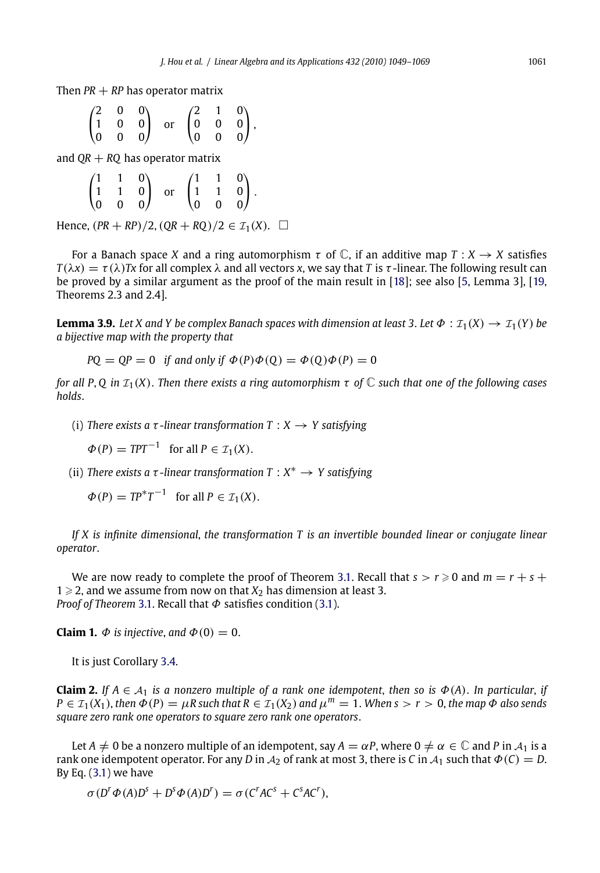<span id="page-12-0"></span>Then  $PR + RP$  has operator matrix

|  |  | $\begin{pmatrix} 2 & 0 & 0 \\ 1 & 0 & 0 \\ 0 & 0 & 0 \end{pmatrix} \quad \text{or} \quad \begin{pmatrix} 2 & 1 & 0 \\ 0 & 0 & 0 \\ 0 & 0 & 0 \end{pmatrix},$ |  |  |
|--|--|--------------------------------------------------------------------------------------------------------------------------------------------------------------|--|--|

and  $QR + RQ$  has operator matrix

|  |  | $\begin{pmatrix} 1 & 1 & 0 \\ 1 & 1 & 0 \\ 0 & 0 & 0 \end{pmatrix}$ or $\begin{pmatrix} 1 & 1 & 0 \\ 1 & 1 & 0 \\ 0 & 0 & 0 \end{pmatrix}$ . |  |  |
|--|--|----------------------------------------------------------------------------------------------------------------------------------------------|--|--|

Hence,  $(PR + RP)/2$ ,  $(QR + RQ)/2 \in I_1(X)$ . □

For a Banach space *X* and a ring automorphism  $\tau$  of  $\mathbb{C}$ , if an additive map  $T : X \rightarrow X$  satisfies *T*( $\lambda$ *x*) = *τ*( $\lambda$ )*Tx* for all complex  $\lambda$  and all vectors *x*, we say that *T* is *τ*-linear. The following result can be proved by a similar argument as the proof of the main result in [18]; see also [5, Lemma 3], [19, Theorems 2.3 and 2.4].

**Lemma 3.9.** *Let X* and *Y be complex Banach spaces with dimension at least 3. Let*  $\Phi$  :  $\mathcal{I}_1(X) \to \mathcal{I}_1(Y)$  *be a bijective map with the property that*

$$
PQ = QP = 0
$$
 if and only if  $\Phi(P)\Phi(Q) = \Phi(Q)\Phi(P) = 0$ 

*for all P, Q in*  $\mathcal{I}_1(X)$ . *Then there exists a ring automorphism*  $\tau$  *of*  $\mathbb C$  *such that one of the following cases holds*.

- (i) *There exists a*  $\tau$ *-linear transformation*  $T : X \rightarrow Y$  *sat[isfyi](#page-7-0)ng* 
	- $\Phi(P) = TPT^{-1}$  for all  $P \in \mathcal{I}_1(X)$ .
- (ii) *There exists a* τ *-linear transformation T* : *<sup>X</sup>*<sup>∗</sup> → *Y satisfying*
	- $\Phi(P) = TP^*T^{-1}$  for all  $P \in \mathcal{I}_1(X)$ .

*If X is infinite dimensional*, *the transformation T is an invertible bounded linear or conjugate linear operator*.

We are now ready to complete the proof of Theorem 3.1. Recall that  $s > r \geqslant 0$  and  $m = r + s + 1$  $1 \geqslant 2$ , and we assume from now on that  $X_2$  has dimension at least 3. *Proof of Theorem* 3.1. Recall that Φ satisfies condition (3.1).

**Claim 1.**  $\Phi$  *is injective*, *and*  $\Phi(0) = 0$ .

It is just Corollary 3.4.

**Claim 2.** *If*  $A \in A_1$  *is a nonzero multiple of a rank one idempotent, then so is*  $\Phi(A)$ . *In particular, if*  $P \in \mathcal{I}_1(X_1)$ , *then*  $\Phi(P) = \mu R$  such that  $R \in \mathcal{I}_1(X_2)$  and  $\mu^m = 1$ . When  $s > r > 0$ , the map  $\Phi$  also sends *square zero rank one operators to square zero rank one operators*.

Let *A*  $\neq$  0 be a nonzero multiple of an idempotent, say *A* =  $\alpha$ *P*, where 0  $\neq \alpha \in \mathbb{C}$  and *P* in  $\mathcal{A}_1$  is a rank one idempotent operator. For any *D* in  $A_2$  of rank at most 3, there is *C* in  $A_1$  such that  $\Phi$  (*C*) = *D*. By Eq.  $(3.1)$  we have

$$
\sigma(D^r\Phi(A)D^s + D^s\Phi(A)D^r) = \sigma(C^rAC^s + C^sAC^r),
$$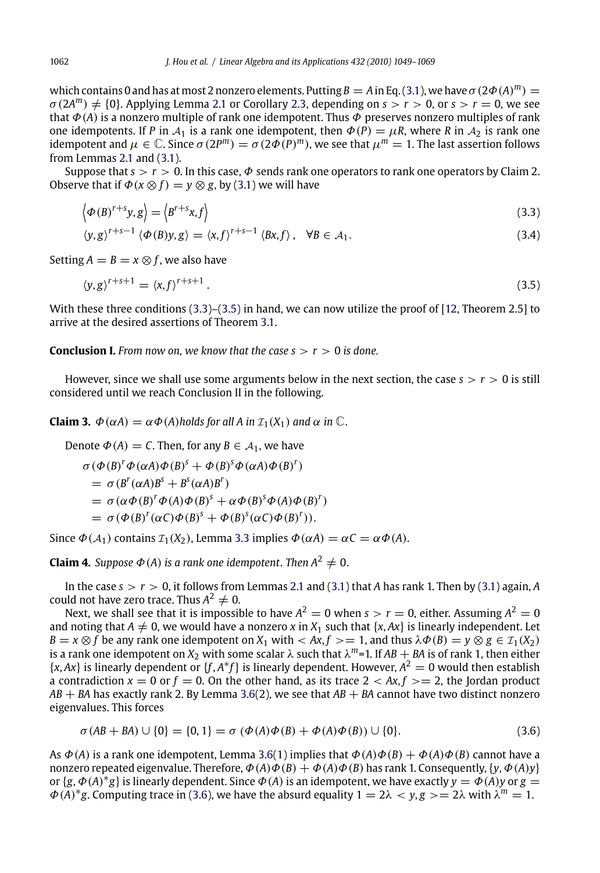which contains 0 and has at most 2 nonzero elements. Putting  $B = A$  in Eq. (3.1), we have  $\sigma (2\Phi(A)^m) =$  $\sigma(2A^m) \neq \{0\}$ . Applying Lemma 2.1 or Corollary 2.3, depending on  $s > r > 0$ , or  $s > r = 0$ , we see that  $\Phi(A)$  is a nonzero multiple of rank one idempotent. Thus  $\Phi$  preserves nonzero multiples of rank one idempotents. If *P* in  $A_1$  is a rank one idempotent, then  $\Phi(P) = \mu R$ , where *R* in  $A_2$  is rank one idempotent and  $\mu \in \mathbb{C}$ . Since  $\sigma(2P^m) = \sigma(2\Phi(P)^m)$ , we see that  $\mu^m = 1$ . The last assertion follows from Lemmas 2.1 and (3.1).

Suppose that  $s > r > 0$ . In this case,  $\Phi$  sends rank one [oper](#page-20-0)ators to rank one operators by Claim 2. Observe that if  $\Phi(x \otimes f) = y \otimes g$ , by (3.1) [we](#page-7-0) [w](#page-7-0)ill have

$$
\left\langle \phi\left(B\right)^{r+s}y,g\right\rangle = \left\langle B^{r+s}x,f\right\rangle\tag{3.3}
$$

$$
\langle y, g \rangle^{r+s-1} \langle \Phi(B)y, g \rangle = \langle x, f \rangle^{r+s-1} \langle Bx, f \rangle, \quad \forall B \in \mathcal{A}_1.
$$
 (3.4)

Setting  $A = B = x \otimes f$ , we also have

$$
\langle y, g \rangle^{r+s+1} = \langle x, f \rangle^{r+s+1} \,. \tag{3.5}
$$

With these three conditions (3.3)–(3.5) in hand, we can now utilize the proof of [12, Theorem 2.5] to arrive at the desired assertions of Theorem 3.1.

**Conclusion I.** *From now on, we know that the case*  $s > r > 0$  *is done.* 

However, since we shall use some arguments below in the next section, the case  $s > r > 0$  is still considered until we reach Conclusion [II in](#page-7-0) the following.

**Claim 3.**  $\Phi(\alpha A) = \alpha \Phi(A)$ *holds for all A in*  $\mathcal{I}_1(X_1)$  *and*  $\alpha$  *in*  $\mathbb{C}$ *.* 

Denote  $\Phi(A) = C$ . Then, for any  $B \in A_1$ , we h[ave](#page-2-0)

 $\sigma$ ( $\Phi$ (*B*)<sup>*r*</sup> $\Phi$ ( $\alpha$ *A*) $\Phi$ (*B*)<sup>*s*</sup> +  $\Phi$ (*B*)<sup>*s*</sup> $\Phi$ ( $\alpha$ *A*) $\Phi$ (*B*)<sup>*r*</sup>)  $= \sigma (B^r(\alpha A)B^s + B^s(\alpha A)B^r)$ =  $\sigma(\alpha \Phi(B)^r \Phi(A) \Phi(B)^s + \alpha \Phi(B)^s \Phi(A) \Phi(B)^r)$ 

 $= \sigma(\Phi(B)^r(\alpha C)\Phi(B)^s + \Phi(B)^s(\alpha C)\Phi(B)^r)).$ 

Since  $\Phi(A_1)$  contains  $\mathcal{I}_1(X_2)$ , Lemma 3.3 implies  $\Phi(\alpha A) = \alpha C = \alpha \Phi(A)$ .

**Claim 4.** *Suppose*  $\Phi(A)$  *is a rank one idempotent. Then*  $A^2 \neq 0$ .

In the case  $s > r > 0$ , it follows from Lemmas 2.1 and (3.1) that *A* has rank 1. Then by (3.1) again, *A* could not have zero trace. Thus  $A^2 \neq 0$ .

Next, we shall see that it is impossible [to h](#page-10-0)ave  $A^2 = 0$  when  $s > r = 0$ , either. Assuming  $A^2 = 0$ and noting that  $A \neq 0$ , we would have a nonzero *x* in  $X_1$  such that {*x*, *Ax*} is linearly independent. Let *B* = *x*  $\otimes$  *f* be any rank one idempotent on *X*<sub>1</sub> with < *Ax*, *f* > = 1, and thus  $\lambda \Phi$  (*B*) = *y*  $\otimes$  *g*  $\in$  *T*<sub>1</sub>(*X*<sub>2</sub>) is a rank one idempotent on  $X_2$  with some scalar  $\lambda$  such that  $\lambda^m$ =1. If  $AB + BA$  is of rank 1, then either  $\{x, Ax\}$  is linearly dependent or  $\{f, A^*f\}$  is linearly dependent. However,  $A^2 = 0$  would then establish a contradiction  $x = 0$  or  $f = 0$ . On the other hand, as its trace  $2 < Ax, f > = 2$ , the Jordan product *AB* + *BA* has exactly rank 2. By Lemma 3.6(2), we see that *AB* + *BA* cannot have two distinct nonzero eigenvalues. This forces

$$
\sigma(AB + BA) \cup \{0\} = \{0, 1\} = \sigma(\Phi(A)\Phi(B) + \Phi(A)\Phi(B)) \cup \{0\}.
$$
 (3.6)

As  $\Phi(A)$  is a rank one idempotent, Lemma 3.6(1) implies that  $\Phi(A)\Phi(B) + \Phi(A)\Phi(B)$  cannot have a nonzero repeated eigenvalue. Therefore,  $\Phi(A)\Phi(B) + \Phi(A)\Phi(B)$  has rank 1. Consequently, {*y*,  $\Phi(A)y$ } or  $\{g, \Phi(A)^*g\}$  is linearly dependent. Since  $\Phi(A)$  is an idempotent, we have exactly  $y = \Phi(A)y$  or  $g =$  $\Phi(A)^*g$ . Computing trace in (3.6), we have the absurd equality  $1 = 2\lambda < y$ ,  $g \geq 2\lambda$  with  $\lambda^m = 1$ .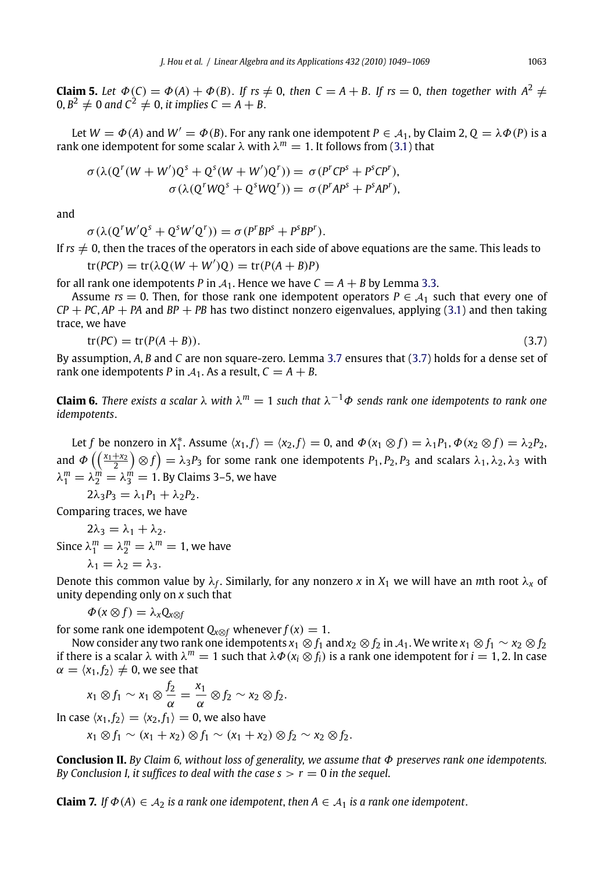**Claim 5.** Let  $\Phi(C) = \Phi(A) + \Phi(B)$ . If  $rs \neq 0$ , then  $C = A + B$ . If  $rs = 0$ , then together with  $A^2 \neq 0$  $0, B^2 \neq 0$  and  $C^2 \neq 0$ , *it implies*  $C = A + B$ .

Let  $W = \Phi(A)$  and  $W' = \Phi(B)$ . For any rank one idempotent  $P \in A_1$ , b[y Cla](#page-7-0)im 2,  $Q = \lambda \Phi(P)$  is a rank one idempotent for some scalar  $\lambda$  with  $\lambda^m = 1$ . It follows from (3.1) that

$$
\sigma(\lambda(Q^r(W+W')Q^s+Q^s(W+W')Q^r))=\sigma(P^rCP^s+P^sCP^r),
$$
  

$$
\sigma(\lambda(Q^rWQ^s+Q^sWQ^r))=\sigma(P^rAP^s+P^sAP^r),
$$

and

$$
\sigma(\lambda(Q^rW'Q^s+Q^sW'Q^r))=\sigma(P^rBP^s+P^sBP^r).
$$

If  $rs \neq 0$ , then the traces of the operators in each side of above equations are the same. This leads to  $\theta$ <sup>2</sup>  $\theta$ <sup>*(wit + without*)</sup>  $\frac{1}{2}$   $\sqrt{p}$   $\left($ *A*  $+$  **B**) $\frac{p}{p}$ 

$$
tr(PCP) = tr(\lambda Q(W + W')Q) = tr(P(A + B)P)
$$

for all rank one idempotents *P* in  $A_1$ . Hence we have  $C = A + B$  by Lemma 3.3.

Assume  $rs = 0$ . Then, for those rank one idempotent operators  $P \in A_1$  such that every one of *CP* + *PC*, *AP* + *PA* and *BP* + *PB* has two distinct nonzero eigenvalues, applying (3.1) and then taking trace, we have

$$
tr(PC) = tr(P(A + B)).
$$
\n(3.7)

By assumption, *A*, *B* and *C* are non square-zero. Lemma 3.7 ensures that (3.7) holds for a dense set of rank one idempotents *P* in  $A_1$ . As a result,  $C = A + B$ .

**Claim 6.** *There exists a scalar*  $\lambda$  *with*  $\lambda^m = 1$  *such that*  $\lambda^{-1}\Phi$  *sends rank one idempotents to rank one idempotents*.

Let *f* be nonzero in  $X_1^*$ . Assume  $\langle x_1, f \rangle = \langle x_2, f \rangle = 0$ , and  $\Phi(x_1 \otimes f) = \lambda_1 P_1$ ,  $\Phi(x_2 \otimes f) = \lambda_2 P_2$ , and  $\Phi\left(\left(\frac{x_1+x_2}{2}\right)\otimes f\right)=\lambda_3P_3$  for some rank one idempotents  $P_1,P_2,P_3$  and scalars  $\lambda_1,\lambda_2,\lambda_3$  with  $\lambda_1^m = \lambda_2^m = \lambda_3^m = 1$ . By Claims 3–5, we have

$$
2\lambda_3 P_3 = \lambda_1 P_1 + \lambda_2 P_2.
$$

Comparing traces, we have

 $2\lambda_3 = \lambda_1 + \lambda_2$ . Since  $\lambda_1^m = \lambda_2^m = \lambda^m = 1$ , we have

$$
\lambda_1=\lambda_2=\lambda_3.
$$

Denote this common value by  $\lambda_f$ . Similarly, for any nonzero *x* in  $X_1$  we will have an *m*th root  $\lambda_x$  of unity depending only on *x* such that

 $\Phi(x \otimes f) = \lambda_x Q_{x \otimes f}$ 

for some rank one idempotent  $Q_{x\otimes f}$  whenever  $f(x) = 1$ .

Now consider any two rank one idempotents  $x_1 \otimes f_1$  and  $x_2 \otimes f_2$  in  $A_1$ . We write  $x_1 \otimes f_1 \sim x_2 \otimes f_2$ if there is a scalar λ with  $λ<sup>m</sup> = 1$  such that  $λΦ(x<sub>i</sub> ⊗ f<sub>i</sub>)$  is a rank one idempotent for  $i = 1, 2$ . In case  $\alpha = \langle x_1, f_2 \rangle \neq 0$ , we see that

$$
x_1 \otimes f_1 \sim x_1 \otimes \frac{f_2}{\alpha} = \frac{x_1}{\alpha} \otimes f_2 \sim x_2 \otimes f_2.
$$

In case  $\langle x_1, f_2 \rangle = \langle x_2, f_1 \rangle = 0$ , we also have

$$
x_1 \otimes f_1 \sim (x_1 + x_2) \otimes f_1 \sim (x_1 + x_2) \otimes f_2 \sim x_2 \otimes f_2.
$$

**Conclusion II.** *By Claim 6, without loss of generality, we assume that* Φ *preserves rank one idempotents. By Conclusion I, it suffices to deal with the case*  $s > r = 0$  *in the sequel.* 

**Claim 7.** *If*  $\Phi(A) \in A_2$  *is a rank one idempotent, then*  $A \in A_1$  *is a rank one idempotent.*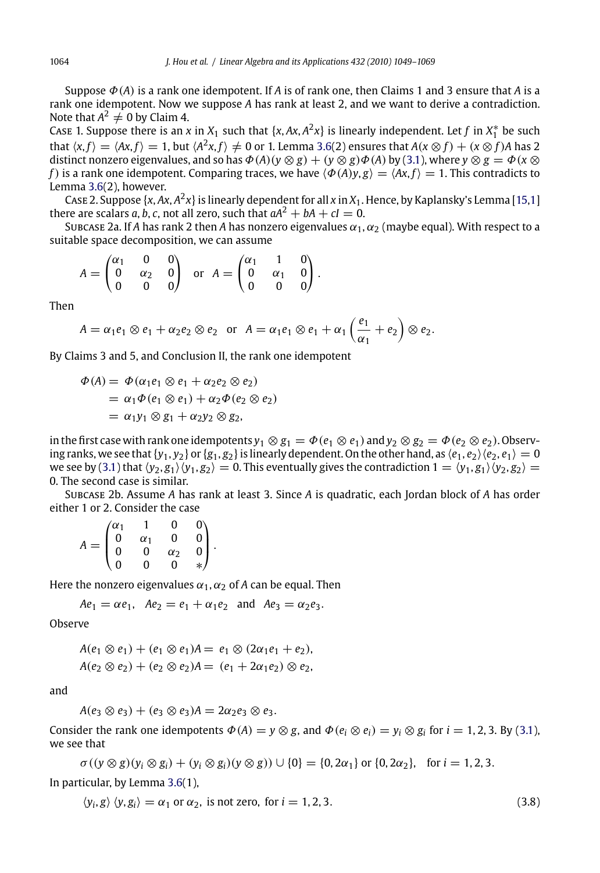Suppose Φ(*A*) is a rank one idempotent. If *A* is of rank one, then Claims 1 and 3 ensure that *A* is a rank one idempotent. Now we suppose *A* has rank at least 2, and we want to derive a contradiction. Note that  $A^2 \neq 0$  by Claim 4.

Case 1. Suppose there is an *x* in  $X_1$  such that  $\{x, Ax, A^2x\}$  is linearly independent. Let  $f$  in  $X_1^*$  be such that  $\langle x, f \rangle = \langle Ax, f \rangle = 1$ , but  $\langle A^2x, f \rangle \neq 0$  or 1. Lemma 3.6(2) ensures that  $A(x \otimes f) + (x \otimes f)A$  has 2 distinct nonzero eigenvalues, and so has  $\Phi(A)(y \otimes g) + (y \otimes g)\Phi(A)$  by (3.1), where  $y \otimes g = \Phi(x \otimes g)$ *f*) is a rank one idempotent. Comparing traces, we have  $\langle \Phi(A)y, g \rangle = \langle Ax, f \rangle = 1$ . This contradicts to Lemma 3.6(2), however.

Case 2. Suppose  $\{x, Ax, A^2x\}$  is linearly dependent for all  $x$  in  $X_1$ . Hence, by Kaplansky's Lemma [15,1] there are scalars *a*, *b*, *c*, not all zero, such that  $aA^2 + bA + cI = 0$ .

Subcase 2a. If *A* has rank 2 then *A* has nonzero eigenvalues  $\alpha_1, \alpha_2$  (maybe equal). With respect to a suitable space decomposition, we can assume

$$
A = \begin{pmatrix} \alpha_1 & 0 & 0 \\ 0 & \alpha_2 & 0 \\ 0 & 0 & 0 \end{pmatrix} \text{ or } A = \begin{pmatrix} \alpha_1 & 1 & 0 \\ 0 & \alpha_1 & 0 \\ 0 & 0 & 0 \end{pmatrix}.
$$

Then

$$
A = \alpha_1 e_1 \otimes e_1 + \alpha_2 e_2 \otimes e_2 \text{ or } A = \alpha_1 e_1 \otimes e_1 + \alpha_1 \left(\frac{e_1}{\alpha_1} + e_2\right) \otimes e_2.
$$

By Claims 3 and 5, and Conclusion II, the rank one idempotent

$$
\Phi(A) = \Phi(\alpha_1 e_1 \otimes e_1 + \alpha_2 e_2 \otimes e_2)
$$
  
=  $\alpha_1 \Phi(e_1 \otimes e_1) + \alpha_2 \Phi(e_2 \otimes e_2)$   
=  $\alpha_1 y_1 \otimes g_1 + \alpha_2 y_2 \otimes g_2$ ,

in the first case with rank one idempotents  $y_1 \otimes g_1 = \Phi(e_1 \otimes e_1)$  and  $y_2 \otimes g_2 = \Phi(e_2 \otimes e_2)$ . Observing ranks, we see that  $\{y_1, y_2\}$  or  $\{g_1, g_2\}$  is linearly dependent. On the other hand, as  $\langle e_1, e_2 \rangle \langle e_2, e_1 \rangle = 0$ we see by (3.1) that  $\langle y_2, g_1 \rangle \langle y_1, g_2 \rangle = 0$ . This eventually gives the contradiction  $1 = \langle y_1, g_1 \rangle \langle y_2, g_2 \rangle =$ 0. The second case is similar.

Subcase 2b. Assume *A* has rank at least 3. Since *A* is quadratic, each Jordan block of *A* has order either 1 or 2. Consider the case

$$
A = \begin{pmatrix} \alpha_1 & 1 & 0 & 0 \\ 0 & \alpha_1 & 0 & 0 \\ 0 & 0 & \alpha_2 & 0 \\ 0 & 0 & 0 & * \end{pmatrix}.
$$

Here the nonzero eigenvalues  $\alpha_1, \alpha_2$  of *A* can be equal. Then

$$
Ae_1 = \alpha e_1
$$
,  $Ae_2 = e_1 + \alpha_1 e_2$  and  $Ae_3 = \alpha_2 e_3$ .

Observe

$$
A(e_1 \otimes e_1) + (e_1 \otimes e_1)A = e_1 \otimes (2\alpha_1 e_1 + e_2),
$$
  

$$
A(e_2 \otimes e_2) + (e_2 \otimes e_2)A = (e_1 + 2\alpha_1 e_2) \otimes e_2,
$$

and

$$
A(e_3 \otimes e_3) + (e_3 \otimes e_3)A = 2\alpha_2 e_3 \otimes e_3.
$$

Consider the rank one idempotents  $\Phi(A) = y \otimes g$ , and  $\Phi(e_i \otimes e_i) = y_i \otimes g_i$  for  $i = 1, 2, 3$ . By (3.1), we see that

$$
\sigma((y \otimes g)(y_i \otimes g_i) + (y_i \otimes g_i)(y \otimes g)) \cup \{0\} = \{0, 2\alpha_1\} \text{ or } \{0, 2\alpha_2\}, \text{ for } i = 1, 2, 3.
$$

In particular, by Lemma 3.6(1),

$$
\langle y_i, g \rangle \langle y, g_i \rangle = \alpha_1 \text{ or } \alpha_2, \text{ is not zero, for } i = 1, 2, 3. \tag{3.8}
$$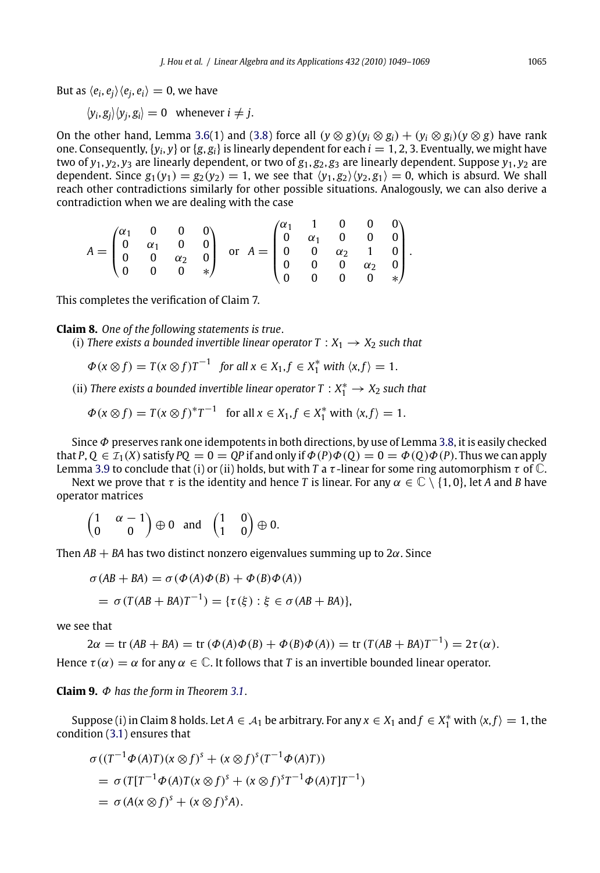But as  $\langle e_i, e_j \rangle \langle e_j, e_i \rangle = 0$ , we have

$$
\langle y_i, g_j \rangle \langle y_j, g_i \rangle = 0 \quad \text{whenever } i \neq j.
$$

On the other hand, Lemma 3.6(1) and (3.8) force all  $(y \otimes g)(y_i \otimes g_i) + (y_i \otimes g_i)(y \otimes g)$  have rank one. Consequently,  $\{y_i, y\}$  or  $\{g, g_i\}$  is linearly dependent for each  $i = 1, 2, 3$ . Eventually, we might have two of  $y_1$ ,  $y_2$ ,  $y_3$  are linearly dependent, or two of  $g_1$ ,  $g_2$ ,  $g_3$  are linearly dependent. Suppose  $y_1$ ,  $y_2$  are dependent. Since  $g_1(y_1) = g_2(y_2) = 1$ , we see that  $\langle y_1, g_2 \rangle \langle y_2, g_1 \rangle = 0$ , which is absurd. We shall reach other contradictions similarly for other possible situations. Analogously, we can also derive a contradiction when we are dealing with the case

|  |  | $A = \begin{pmatrix} \alpha_1 & 0 & 0 & 0 \ 0 & \alpha_1 & 0 & 0 \ 0 & 0 & \alpha_2 & 0 \ 0 & 0 & 0 & * \end{pmatrix} \;\; \text{or} \;\; A = \begin{pmatrix} \alpha_1 & 1 & 0 & 0 & 0 \ 0 & \alpha_1 & 0 & 0 & 0 \ 0 & 0 & \alpha_2 & 1 & 0 \ 0 & 0 & 0 & \alpha_2 & 0 \ 0 & 0 & 0 & 0 & * \end{pmatrix}.$ |  |  |  |
|--|--|-------------------------------------------------------------------------------------------------------------------------------------------------------------------------------------------------------------------------------------------------------------------------------------------------------------|--|--|--|
|  |  |                                                                                                                                                                                                                                                                                                             |  |  |  |
|  |  |                                                                                                                                                                                                                                                                                                             |  |  |  |
|  |  |                                                                                                                                                                                                                                                                                                             |  |  |  |

This completes the verification of Claim 7.

**Claim 8.** *[On](#page-12-0)e of the following statements is true*.

(i) *There exists a bounded invertible linear operator*  $T : X_1 \rightarrow X_2$  *such that* 

$$
\Phi(x \otimes f) = T(x \otimes f)T^{-1} \text{ for all } x \in X_1, f \in X_1^* \text{ with } \langle x, f \rangle = 1.
$$

(ii) *There exists a bounded invertible linear operator*  $T : X_1^* \to X_2$  *such that* 

$$
\Phi(x \otimes f) = T(x \otimes f)^* T^{-1} \text{ for all } x \in X_1, f \in X_1^* \text{ with } \langle x, f \rangle = 1.
$$

Since  $\Phi$  preserves rank one idempotents in both directions, by use of Lemma 3.8, it is easily checked that  $P, Q \in \mathcal{I}_1(X)$  satisfy  $PQ = 0 = QP$  if and only if  $\Phi(P) \Phi(Q) = 0 = \Phi(Q) \Phi(P)$ . Thus we can apply

Lemma 3.9 to conclude that (i) or (ii) holds, but with *T* a  $\tau$ -linear for some ring automorphism  $\tau$  of  $\mathbb{C}$ . Next we prove that  $\tau$  is the identity and hence *T* is linear. For any  $\alpha \in \mathbb{C} \setminus \{1, 0\}$ , let *A* and *B* have operator matrices

$$
\begin{pmatrix} 1 & \alpha & -1 \\ 0 & 0 \end{pmatrix} \oplus 0 \quad \text{and} \quad \begin{pmatrix} 1 & 0 \\ 1 & 0 \end{pmatrix} \oplus 0.
$$

Then  $AB + BA$  has two distinct non[zero](#page-7-0) eigenvalues summing up to  $2\alpha$ . Since

$$
\sigma(AB + BA) = \sigma(\Phi(A)\Phi(B) + \Phi(B)\Phi(A))
$$

$$
= \sigma(T(AB + BA)T^{-1}) = \{\tau(\xi) : \xi \in \sigma(AB + BA)\},
$$

we see that

 $2\alpha = \text{tr}(AB + BA) = \text{tr}(\Phi(A)\Phi(B) + \Phi(B)\Phi(A)) = \text{tr}(T(AB + BA)T^{-1}) = 2\tau(\alpha).$ 

Hence  $\tau(\alpha) = \alpha$  for any  $\alpha \in \mathbb{C}$ . It follows that *T* is an invertible bounded linear operator.

**Claim 9.** Φ *has the form in Theorem 3.1*.

Suppose (i) in Claim 8 holds. Let  $A \in A_1$  be arbitrary. For any  $x \in X_1$  and  $f \in X_1^*$  with  $\langle x, f \rangle = 1$ , the condition (3.1) ensures that

$$
\sigma((T^{-1}\Phi(A)T)(x\otimes f)^{s} + (x\otimes f)^{s}(T^{-1}\Phi(A)T))
$$
  
= 
$$
\sigma(T[T^{-1}\Phi(A)T(x\otimes f)^{s} + (x\otimes f)^{s}T^{-1}\Phi(A)T]T^{-1})
$$
  
= 
$$
\sigma(A(x\otimes f)^{s} + (x\otimes f)^{s}A).
$$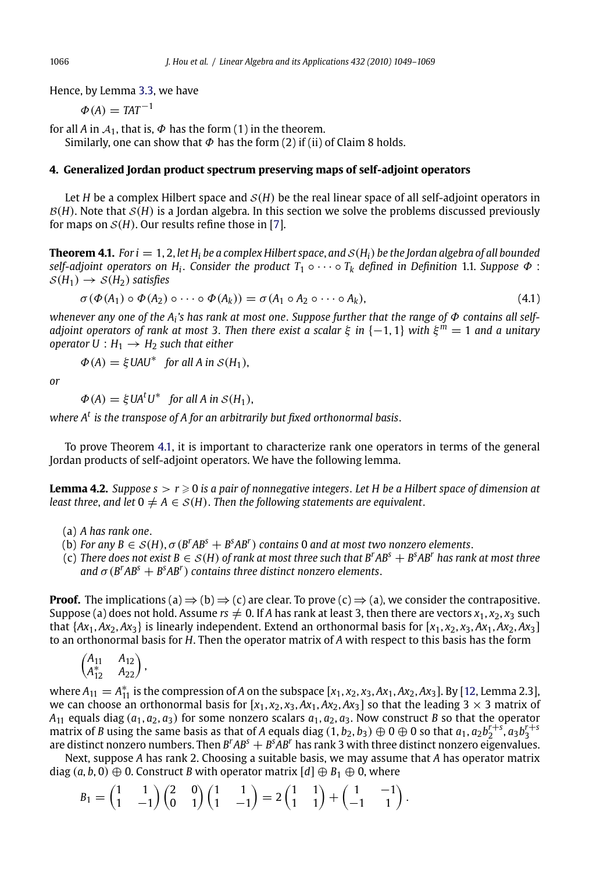Hence, by Lemma 3.3, we have

 $\Phi(A) = TAT^{-1}$ 

for all *A* in  $A_1$ , that is,  $\Phi$  has the form (1) in the theorem. Similarly, one can show that  $\Phi$  has the form (2) if (ii) of Claim 8 holds.

## **4. Generalized Jordan product spectrum preserving maps of self-adjoint operators**

Let *<sup>H</sup>* be a complex Hilbert space and <sup>S</sup>(*H*) be the real linear space of all self-adjoint operators in  $B(H)$ . Note that  $S(H)$  is a Jordan algebra. In this section we solve the problems discussed previously for maps on  $S(H)$ . Our results refine those in [7].

**Theorem 4.1.** *For i* = 1, 2, *let*  $H_i$  *be a complex Hilbert space, and*  $S(H_i)$  *be the Jordan algebra of all bounded self-adjoint operators on H<sub>i</sub>. Consider the product*  $T_1 \circ \cdots \circ T_k$  *defined in Definition* 1.1. *Suppose*  $\Phi$ :  $S(H_1) \rightarrow S(H_2)$  *satisfies* 

$$
\sigma(\Phi(A_1) \circ \Phi(A_2) \circ \cdots \circ \Phi(A_k)) = \sigma(A_1 \circ A_2 \circ \cdots \circ A_k), \tag{4.1}
$$

*whenever any one of the Ai's has rank at most one*. *Suppose further that the range of* Φ *contains all selfadjoint operators of rank at most 3*. *Then there exist a scalar* ξ *in* {−1, 1} *with* ξ *<sup>m</sup>* = 1 *and a unitary operator*  $U : H_1 \rightarrow H_2$  *such that either* 

$$
\Phi(A) = \xi \text{UAU}^* \text{ for all } A \text{ in } \mathcal{S}(H_1),
$$

*or*

 $\Phi(A) = \xi U A^t U^*$  *for all A in S(H<sub>1</sub>)*,

*where A<sup>t</sup> is the transpose of A for an arbitrarily but fixed orthonormal basis*.

To prove Theorem 4.1, it is important to characterize rank one operators in terms of the general Jordan products of self-adjoint operators. We have the following lemma.

**Lemma 4.2.** *Suppose s* > *r* - 0 *is a pair of nonnegative integers*. *Let H be a Hilbert space of dimension at least three, and let*  $0 \neq A \in S(H)$ . *Then the following statements are equivalent.* 

- (a) *A has rank one*.
- (b) *For any B*  $\in$  *S*(*H*),  $\sigma$ (*B<sup><i>r*</sup>A*B*<sup>*s*</sup> + *B*<sup>*s*</sup>A*B<sup><i>r*</sup>)</sub> *contains* 0 *and at most two nonzero elemen[ts](#page-20-0)*.
- (c) *There does not exist B* ∈ <sup>S</sup>(*H*) *of rank at most three such that B<sup>r</sup> AB<sup>s</sup>* + *B<sup>s</sup> AB<sup>r</sup> has rank at most three and*  $\sigma$  ( $B^rAB^s + B^sAB^r$ ) *contains three distinct nonzero elements.*

**Proof.** The implications (a)  $\Rightarrow$  (b)  $\Rightarrow$  (c) are clear. To prove (c)  $\Rightarrow$  (a), we consider the contrapositive. Suppose (a) does not hold. Assume  $rs \neq 0$ . If *A* has rank at least 3, then there are vectors  $x_1, x_2, x_3$  such that  $\{Ax_1, Ax_2, Ax_3\}$  is linearly independent. Extend an orthonormal basis for  $[x_1, x_2, x_3, Ax_1, Ax_2, Ax_3]$ to an orthonormal basis for *H*. Then the operator matrix of *A* with respect to this basis has the form

$$
\begin{pmatrix} A_{11} & A_{12} \\ A_{12}^* & A_{22} \end{pmatrix},
$$

where  $A_{11} = A_{11}^*$  is the compression of *A* on the subspace  $[x_1, x_2, x_3, Ax_1, Ax_2, Ax_3]$ . By [12, Lemma 2.3], we can choose an orthonormal basis for  $[x_1, x_2, x_3, Ax_1, Ax_2, Ax_3]$  so that the leading 3  $\times$  3 matrix of  $A_{11}$  equals diag ( $a_1, a_2, a_3$ ) for some nonzero scalars  $a_1, a_2, a_3$ . Now construct *B* so that the operator matrix of *B* using the same basis as that of *A* equals diag  $(1, b_2, b_3) \oplus 0 \oplus 0$  so that  $a_1, a_2b_2^{r+s}, a_3b_3^{r+s}$ are distinct nonzero numbers. Then *B<sup>r</sup> AB<sup>s</sup>* + *B<sup>s</sup> AB<sup>r</sup>* has rank 3 with three distinct nonzero eigenvalues.

Next, suppose *A* has rank 2. Choosing a suitable basis, we may assume that *A* has operator matrix diag  $(a, b, 0) \oplus 0$ . Construct *B* with operator matrix  $[d] \oplus B_1 \oplus 0$ , where

$$
B_1 = \begin{pmatrix} 1 & 1 \\ 1 & -1 \end{pmatrix} \begin{pmatrix} 2 & 0 \\ 0 & 1 \end{pmatrix} \begin{pmatrix} 1 & 1 \\ 1 & -1 \end{pmatrix} = 2 \begin{pmatrix} 1 & 1 \\ 1 & 1 \end{pmatrix} + \begin{pmatrix} 1 & -1 \\ -1 & 1 \end{pmatrix}.
$$

<span id="page-17-0"></span>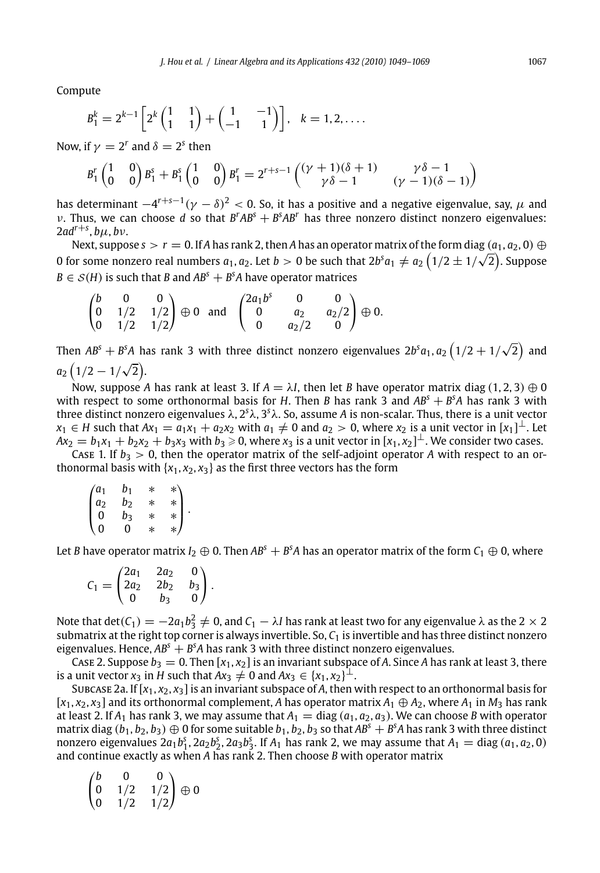Compute

$$
B_1^k = 2^{k-1} \left[ 2^k \begin{pmatrix} 1 & 1 \\ 1 & 1 \end{pmatrix} + \begin{pmatrix} 1 & -1 \\ -1 & 1 \end{pmatrix} \right], \quad k = 1, 2, \dots.
$$

Now, if  $\gamma = 2^r$  and  $\delta = 2^s$  then

$$
B_1^r \begin{pmatrix} 1 & 0 \\ 0 & 0 \end{pmatrix} B_1^s + B_1^s \begin{pmatrix} 1 & 0 \\ 0 & 0 \end{pmatrix} B_1^r = 2^{r+s-1} \begin{pmatrix} (\gamma+1)(\delta+1) & \gamma \delta - 1 \\ \gamma \delta - 1 & (\gamma-1)(\delta-1) \end{pmatrix}
$$

has determinant  $-4^{r+s-1}$  (*γ* − δ)<sup>2</sup> < 0. So, it has a positive and a negative eigenvalue, say, *μ* and *v*. Thus, we can choose *d* so that  $B^rAB^s + B^sAB^r$  has three nonzero distinct nonzero eigenvalues:  $2ad^{r+s}$ ,  $b\mu$ ,  $b\nu$ .

Next, suppose  $s > r = 0$ . If *A* has rank 2, then *A* has an operator matrix of the form diag  $(a_1, a_2, 0) \oplus$ Next, supposes  $> r = 0.$  If A has raince, then A has an operator matrix of the form diag  $(a_1, a_2, 0) \oplus 0$  for some nonzero real numbers  $a_1, a_2$ . Let  $b > 0$  be such that  $2b^s a_1 \neq a_2 (1/2 \pm 1/\sqrt{2})$ . Suppose  $B \in \mathcal{S}(H)$  is such that *B* and  $AB^s + B^sA$  have operator matrices

$$
\begin{pmatrix} b & 0 & 0 \ 0 & 1/2 & 1/2 \ 0 & 1/2 & 1/2 \end{pmatrix} \oplus 0 \text{ and } \begin{pmatrix} 2a_1b^s & 0 & 0 \ 0 & a_2 & a_2/2 \ 0 & a_2/2 & 0 \end{pmatrix} \oplus 0.
$$

Then  $AB^{\text{s}}+B^{\text{s}}A$  has rank 3 with three distinct nonzero eigenvalues  $2b^{\text{s}}a_1$ ,  $a_2\left(1/2+1/\sqrt{2}\right)$  and  $a_2(1/2-1/\sqrt{2}).$ 

Now, suppose *A* has rank at least 3. If  $A = \lambda I$ , then let *B* have operator matrix diag (1, 2, 3)  $\oplus$  0 with respect to some orthonormal basis for *H*. Then *B* has rank 3 and  $AB<sup>S</sup> + B<sup>S</sup>A$  has rank 3 with three distinct nonzero eigenvalues λ, 2<sup>s</sup>λ, 3<sup>s</sup>λ. So, assume *A* is non-scalar. Thus, there is a unit vector *x*<sub>1</sub> ∈ *H* such that  $Ax_1 = a_1x_1 + a_2x_2$  with  $a_1 \neq 0$  and  $a_2 > 0$ , where  $x_2$  is a unit vector in  $[x_1]^\perp$ . Let  $Ax_2 = b_1x_1 + b_2x_2 + b_3x_3$  with  $b_3 \ge 0$ , where  $x_3$  is a unit vector in  $[x_1, x_2]^\perp$ . We consider two cases.

Case 1. If  $b_3 > 0$ , then the operator matrix of the self-adjoint operator *A* with respect to an orthonormal basis with  $\{x_1, x_2, x_3\}$  as the first three vectors has the form

|                    | $b_1$ | $\ast$ | *\  |
|--------------------|-------|--------|-----|
| $\int_{a_2}^{a_1}$ | $b_2$ | $\ast$ |     |
| $\bf{0}$           | bз    | *      | $*$ |
| 0                  | 0     | $\ast$ | */  |

Let *B* have operator matrix *I*<sub>2</sub>  $\oplus$  0. Then  $AB^s+B^sA$  has an operator matrix of the form  $\mathcal{C}_1\oplus$  0, where

|                       | /2a <sub>1</sub>        | 2a <sub>2</sub> | 0     |  |
|-----------------------|-------------------------|-----------------|-------|--|
| C <sub>1</sub><br>$=$ | $\vert$ 2a <sub>2</sub> | 2b <sub>2</sub> | $b_3$ |  |
|                       | 0                       | b٦              | 0     |  |

Note that  $\det(C_1)=-2a_1b_3^2\neq 0$ , and  $C_1-\lambda I$  has rank at least two for any eigenvalue  $\lambda$  as the 2  $\times$  2 submatrix at the right top corner is always invertible. So, *C*<sup>1</sup> is invertible and has three distinct nonzero eigenvalues. Hence,  $AB^{s} + B^{s}A$  has rank 3 with three distinct nonzero eigenvalues.

Case 2. Suppose  $b_3 = 0$ . Then  $[x_1, x_2]$  is an invariant subspace of A. Since A has rank at least 3, there is a unit vector  $x_3$  in *H* such that  $Ax_3 \neq 0$  and  $Ax_3 \in \{x_1, x_2\}^{\perp}$ .

Subcase 2a. If  $[x_1, x_2, x_3]$  is an invariant subspace of A, then with respect to an orthonormal basis for  $[x_1, x_2, x_3]$  and its orthonormal complement, *A* has operator matrix  $A_1 \oplus A_2$ , where  $A_1$  in  $M_3$  has rank at least 2. If  $A_1$  has rank 3, we may assume that  $A_1 = \text{diag}(a_1, a_2, a_3)$ . We can choose *B* with operator matrix diag  $(b_1, b_2, b_3) \oplus 0$  for some suitable  $b_1, b_2, b_3$  so that  $AB^s + B^s A$  has rank 3 with three distinct nonzero eigenvalues  $2a_1b_1^s$ ,  $2a_2b_2^s$ ,  $2a_3b_3^s$ . If  $A_1$  has rank 2, we may assume that  $A_1 = \text{diag}(a_1, a_2, 0)$ and continue exactly as when *A* has rank 2. Then choose *B* with operator matrix

|                                             | $\Omega$ | 0 ∖ |                         |
|---------------------------------------------|----------|-----|-------------------------|
| $\begin{pmatrix} b \\ 0 \\ 0 \end{pmatrix}$ | 1/2      |     | $\binom{1}{2} \oplus 0$ |
|                                             | 1/2      |     |                         |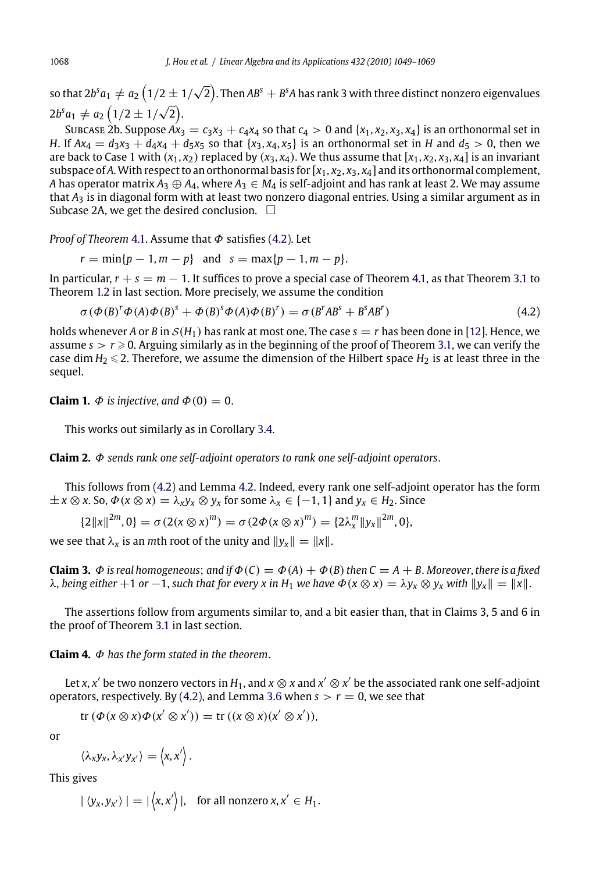so that [2](#page-17-0)b<sup>s</sup>  $a_1\neq a_2\left(1/2\pm 1/\sqrt{2}\right)$ . Then AB<sup>s</sup>  $+$  B<sup>s</sup>A has rank 3 with three distinct nonzero eigenvalues  $2b^s a_1 \neq a_2 (1/2 \pm 1/\sqrt{2}).$ 

SUBCASE 2b. Suppose  $Ax_3 = c_3x_3 + c_4x_4$  so that  $c_4 > 0$  and  $\{x_1, x_2, x_3, x_4\}$  is an orthonormal [set](#page-7-0) in *H*. If  $Ax_4 = d_3x_3 + d_4x_4 + d_5x_5$  $Ax_4 = d_3x_3 + d_4x_4 + d_5x_5$  $Ax_4 = d_3x_3 + d_4x_4 + d_5x_5$  so that  $\{x_3, x_4, x_5\}$  is an orthonormal set [in](#page-17-0) *H* and  $d_5 > 0$ , then we are back to Case 1 with  $(x_1, x_2)$  replaced by  $(x_3, x_4)$ . We thus assume that  $[x_1, x_2, x_3, x_4]$  is an invariant subspace of A. With respect to an orthonormal basis for  $[x_1, x_2, x_3, x_4]$  and its orthonormal complement, *A* has operator matrix  $A_3 \oplus A_4$ , where  $A_3 \in M_4$  is self-adjoint and has rank at least 2. [We m](#page-20-0)ay assume that *A*<sup>3</sup> is in diagonal form with at least two nonzero diagonal entries. Using a s[imil](#page-7-0)ar argument as in Subcase 2A, we get the desired conclusion.  $\Box$ 

*Proof of Theorem* 4.1. Assume that Φ satisfies (4.2). Let

 $r = \min\{p-1, m-p\}$  and  $s = \max\{p-1, m-p\}.$ 

In particular,  $r + s = m - 1$ . It suffices to prove a special case of Theorem 4.1, as that Theorem 3.1 to Theorem 1.2 in last section. More precisel[y,](#page-8-0) [we](#page-8-0) assume the condition

$$
\sigma(\Phi(B)^{r}\Phi(A)\Phi(B)^{s} + \Phi(B)^{s}\Phi(A)\Phi(B)^{r}) = \sigma(B^{r}AB^{s} + B^{s}AB^{r})
$$
\n(4.2)

holds whenever *A* or *B* in  $S(H_1)$  has rank at most one. The case  $s = r$  has been done in [12]. Hence, we assume  $s > r \geqslant 0$ . Arguing similarly as [in th](#page-17-0)e beginning of the proof of Theorem 3.1, we can verify the case dim  $H_2 \le 2$ . Therefore, we assume the dimension of the Hilbert space  $H_2$  is at least three in the sequel.

**Claim 1.**  $\Phi$  *is injective*, *and*  $\Phi(0) = 0$ .

This works out similarly as in Corollary 3.4.

**Claim 2.** Φ *sends rank one self-adjoint operators to rank one self-adjoint operators*.

This follows from [\(4.2](#page-7-0)) and Lemma 4.2. Indeed, every rank one self-adjoint operator has the form  $\pm x \otimes x$ . So,  $\Phi(x \otimes x) = \lambda_x y_x \otimes y_x$  for some  $\lambda_x \in \{-1, 1\}$  and  $y_x \in H_2$ . Since

$$
\{2\|x\|^{2m},0\}=\sigma(2(x\otimes x)^m)=\sigma(2\Phi(x\otimes x)^m)=\{2\lambda_x^m\|y_x\|^{2m},0\},\,
$$

we see that  $\lambda_x$  is an *m*th root of the unity and  $||y_x|| = ||x||$ .

**Claim 3.**  $\Phi$  *is real homogeneous*; *and if*  $\Phi(C) = \Phi(A) + \Phi(B)$  *then*  $C = A + B$ . *Moreover*, *there is a fixed*  $λ$ , *being either* +1 *or* −1, *such that for every x in*  $H_1$  *we have*  $Φ(x ⊗ x) = λy_x ⊗ y_x$  *with*  $||y_x|| = ||x||$ .

The assertions follow from arguments similar to, and a bit easier than, that in Claims 3, 5 and 6 in the proof of Theorem 3.1 in last section.

**Claim 4.** Φ *has the form stated in the theorem*.

Let *x*, *x'* be two nonzero vectors in  $H_1$ , and  $x \otimes x$  and  $x' \otimes x'$  be the associated rank one self-adjoint operators, respectively. By (4.2), and Lemma 3.6 when  $s > r = 0$ , we see that

 $\text{tr} \left( \Phi(x \otimes x) \Phi(x' \otimes x') \right) = \text{tr} \left( (x \otimes x) (x' \otimes x') \right),$ 

or

$$
\langle \lambda_x y_x, \lambda_{x'} y_{x'} \rangle = \langle x, x' \rangle.
$$

This gives

 $|\langle y_x, y_{x'} \rangle| = |\langle x, x' \rangle|$ , for all nonzero  $x, x' \in H_1$ .

<span id="page-19-0"></span>